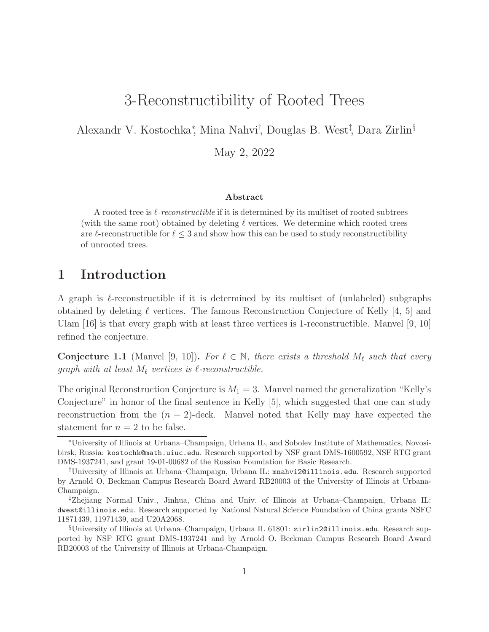# 3-Reconstructibility of Rooted Trees

Alexandr V. Kostochka<sup>∗</sup> , Mina Nahvi† , Douglas B. West‡ , Dara Zirlin§

May 2, 2022

### Abstract

A rooted tree is  $\ell$ -reconstructible if it is determined by its multiset of rooted subtrees (with the same root) obtained by deleting  $\ell$  vertices. We determine which rooted trees are  $\ell$ -reconstructible for  $\ell \leq 3$  and show how this can be used to study reconstructibility of unrooted trees.

# 1 Introduction

A graph is  $\ell$ -reconstructible if it is determined by its multiset of (unlabeled) subgraphs obtained by deleting  $\ell$  vertices. The famous Reconstruction Conjecture of Kelly [4, 5] and Ulam [16] is that every graph with at least three vertices is 1-reconstructible. Manvel [9, 10] refined the conjecture.

**Conjecture 1.1** (Manvel [9, 10]). For  $\ell \in \mathbb{N}$ , there exists a threshold  $M_{\ell}$  such that every graph with at least  $M_{\ell}$  vertices is  $\ell$ -reconstructible.

The original Reconstruction Conjecture is  $M_1 = 3$ . Manvel named the generalization "Kelly's Conjecture" in honor of the final sentence in Kelly [5], which suggested that one can study reconstruction from the  $(n-2)$ -deck. Manvel noted that Kelly may have expected the statement for  $n = 2$  to be false.

<sup>∗</sup>University of Illinois at Urbana–Champaign, Urbana IL, and Sobolev Institute of Mathematics, Novosibirsk, Russia: kostochk@math.uiuc.edu. Research supported by NSF grant DMS-1600592, NSF RTG grant DMS-1937241, and grant 19-01-00682 of the Russian Foundation for Basic Research.

<sup>†</sup>University of Illinois at Urbana–Champaign, Urbana IL: mnahvi2@illinois.edu. Research supported by Arnold O. Beckman Campus Research Board Award RB20003 of the University of Illinois at Urbana-Champaign.

<sup>‡</sup>Zhejiang Normal Univ., Jinhua, China and Univ. of Illinois at Urbana–Champaign, Urbana IL: dwest@illinois.edu. Research supported by National Natural Science Foundation of China grants NSFC 11871439, 11971439, and U20A2068.

<sup>§</sup>University of Illinois at Urbana–Champaign, Urbana IL 61801: zirlin2@illinois.edu. Research supported by NSF RTG grant DMS-1937241 and by Arnold O. Beckman Campus Research Board Award RB20003 of the University of Illinois at Urbana-Champaign.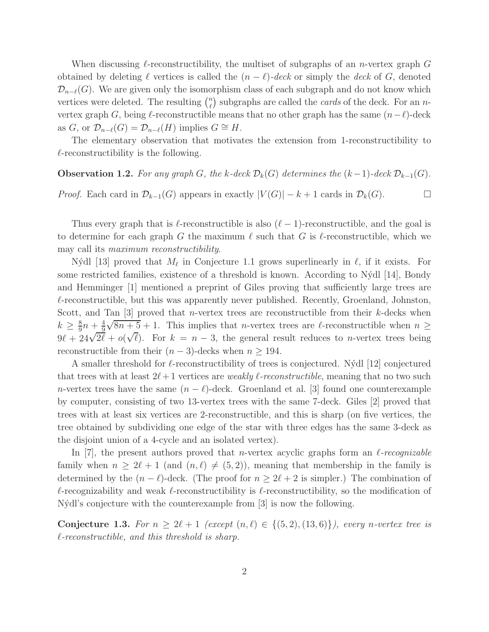When discussing  $\ell$ -reconstructibility, the multiset of subgraphs of an *n*-vertex graph G obtained by deleting  $\ell$  vertices is called the  $(n - \ell)$ -deck or simply the deck of G, denoted  $\mathcal{D}_{n-\ell}(G)$ . We are given only the isomorphism class of each subgraph and do not know which vertices were deleted. The resulting  $\binom{n}{k}$  $\binom{n}{\ell}$  subgraphs are called the *cards* of the deck. For an *n*vertex graph G, being  $\ell$ -reconstructible means that no other graph has the same  $(n-\ell)$ -deck as G, or  $\mathcal{D}_{n-\ell}(G) = \mathcal{D}_{n-\ell}(H)$  implies  $G \cong H$ .

The elementary observation that motivates the extension from 1-reconstructibility to  $\ell$ -reconstructibility is the following.

**Observation 1.2.** For any graph G, the k-deck  $\mathcal{D}_k(G)$  determines the  $(k-1)$ -deck  $\mathcal{D}_{k-1}(G)$ .

*Proof.* Each card in  $\mathcal{D}_{k-1}(G)$  appears in exactly  $|V(G)| - k + 1$  cards in  $\mathcal{D}_k(G)$ . □

Thus every graph that is  $\ell$ -reconstructible is also  $(\ell-1)$ -reconstructible, and the goal is to determine for each graph G the maximum  $\ell$  such that G is  $\ell$ -reconstructible, which we may call its maximum reconstructibility.

Nýdl [13] proved that  $M_{\ell}$  in Conjecture 1.1 grows superlinearly in  $\ell$ , if it exists. For some restricted families, existence of a threshold is known. According to Nýdl [14], Bondy and Hemminger [1] mentioned a preprint of Giles proving that sufficiently large trees are  $\ell$ -reconstructible, but this was apparently never published. Recently, Groenland, Johnston, Scott, and Tan  $\lbrack 3\rbrack$  proved that *n*-vertex trees are reconstructible from their *k*-decks when  $k \geq \frac{8}{9}$  $\frac{8}{9}n + \frac{4}{9}$ 9  $\sqrt{8n+5}+1$ . This implies that *n*-vertex trees are  $\ell$ -reconstructible when  $n \geq$  $9\ell + 24\sqrt{2\ell} + o(\sqrt{\ell})$ . For  $k = n - 3$ , the general result reduces to *n*-vertex trees being reconstructible from their  $(n-3)$ -decks when  $n \geq 194$ .

A smaller threshold for  $\ell$ -reconstructibility of trees is conjectured. N $\acute{y}$ dl [12] conjectured that trees with at least  $2\ell+1$  vertices are *weakly*  $\ell$ *-reconstructible*, meaning that no two such n-vertex trees have the same  $(n - \ell)$ -deck. Groenland et al. [3] found one counterexample by computer, consisting of two 13-vertex trees with the same 7-deck. Giles [2] proved that trees with at least six vertices are 2-reconstructible, and this is sharp (on five vertices, the tree obtained by subdividing one edge of the star with three edges has the same 3-deck as the disjoint union of a 4-cycle and an isolated vertex).

In [7], the present authors proved that *n*-vertex acyclic graphs form an  $\ell$ -recognizable family when  $n \geq 2\ell + 1$  (and  $(n, \ell) \neq (5, 2)$ ), meaning that membership in the family is determined by the  $(n - \ell)$ -deck. (The proof for  $n \ge 2\ell + 2$  is simpler.) The combination of  $\ell$ -recognizability and weak  $\ell$ -reconstructibility is  $\ell$ -reconstructibility, so the modification of N´ydl's conjecture with the counterexample from [3] is now the following.

Conjecture 1.3. For  $n \geq 2\ell + 1$  (except  $(n, \ell) \in \{(5, 2), (13, 6)\}\)$ , every n-vertex tree is  $l$ -reconstructible, and this threshold is sharp.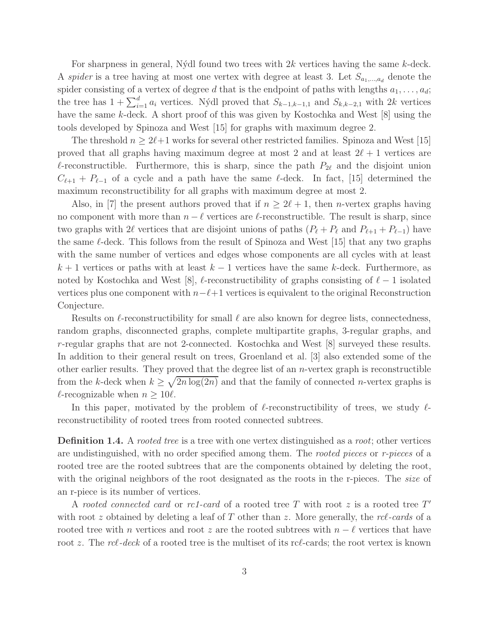For sharpness in general, Nýdl found two trees with  $2k$  vertices having the same k-deck. A spider is a tree having at most one vertex with degree at least 3. Let  $S_{a_1,...,a_d}$  denote the spider consisting of a vertex of degree d that is the endpoint of paths with lengths  $a_1, \ldots, a_d$ ; the tree has  $1 + \sum_{i=1}^{d} a_i$  vertices. Nýdl proved that  $S_{k-1,k-1,1}$  and  $S_{k,k-2,1}$  with  $2k$  vertices have the same k-deck. A short proof of this was given by Kostochka and West [8] using the tools developed by Spinoza and West [15] for graphs with maximum degree 2.

The threshold  $n \geq 2\ell+1$  works for several other restricted families. Spinoza and West [15] proved that all graphs having maximum degree at most 2 and at least  $2\ell + 1$  vertices are  $\ell$ -reconstructible. Furthermore, this is sharp, since the path  $P_{2\ell}$  and the disjoint union  $C_{\ell+1}$  +  $P_{\ell-1}$  of a cycle and a path have the same  $\ell$ -deck. In fact, [15] determined the maximum reconstructibility for all graphs with maximum degree at most 2.

Also, in [7] the present authors proved that if  $n \geq 2\ell + 1$ , then *n*-vertex graphs having no component with more than  $n - \ell$  vertices are  $\ell$ -reconstructible. The result is sharp, since two graphs with 2 $\ell$  vertices that are disjoint unions of paths  $(P_{\ell} + P_{\ell} \text{ and } P_{\ell+1} + P_{\ell-1})$  have the same  $\ell$ -deck. This follows from the result of Spinoza and West [15] that any two graphs with the same number of vertices and edges whose components are all cycles with at least  $k+1$  vertices or paths with at least  $k-1$  vertices have the same k-deck. Furthermore, as noted by Kostochka and West [8],  $\ell$ -reconstructibility of graphs consisting of  $\ell - 1$  isolated vertices plus one component with  $n-\ell+1$  vertices is equivalent to the original Reconstruction Conjecture.

Results on  $\ell$ -reconstructibility for small  $\ell$  are also known for degree lists, connectedness, random graphs, disconnected graphs, complete multipartite graphs, 3-regular graphs, and r-regular graphs that are not 2-connected. Kostochka and West [8] surveyed these results. In addition to their general result on trees, Groenland et al. [3] also extended some of the other earlier results. They proved that the degree list of an  $n$ -vertex graph is reconstructible from the k-deck when  $k \geq \sqrt{2n \log(2n)}$  and that the family of connected n-vertex graphs is  $\ell$ -recognizable when  $n \geq 10\ell$ .

In this paper, motivated by the problem of  $\ell$ -reconstructibility of trees, we study  $\ell$ reconstructibility of rooted trees from rooted connected subtrees.

**Definition 1.4.** A rooted tree is a tree with one vertex distinguished as a root; other vertices are undistinguished, with no order specified among them. The *rooted pieces* or *r-pieces* of a rooted tree are the rooted subtrees that are the components obtained by deleting the root, with the original neighbors of the root designated as the roots in the r-pieces. The size of an r-piece is its number of vertices.

A rooted connected card or rc1-card of a rooted tree  $T$  with root  $z$  is a rooted tree  $T'$ with root z obtained by deleting a leaf of  $T$  other than z. More generally, the  $rcl$ -cards of a rooted tree with n vertices and root z are the rooted subtrees with  $n - \ell$  vertices that have root z. The rcl-deck of a rooted tree is the multiset of its rcl-cards; the root vertex is known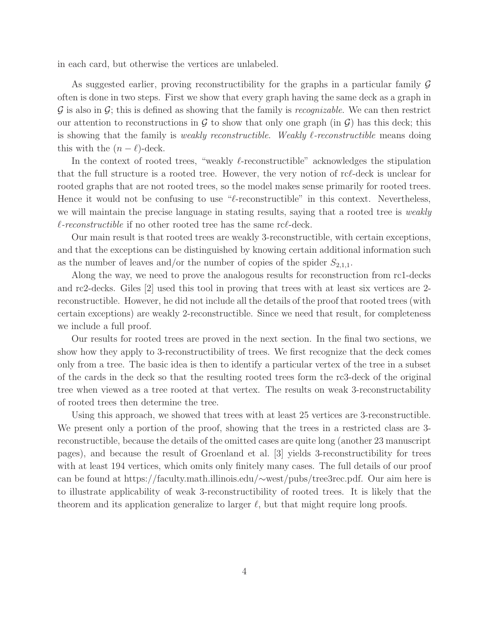in each card, but otherwise the vertices are unlabeled.

As suggested earlier, proving reconstructibility for the graphs in a particular family  $\mathcal G$ often is done in two steps. First we show that every graph having the same deck as a graph in  $\mathcal G$  is also in  $\mathcal G$ ; this is defined as showing that the family is *recognizable*. We can then restrict our attention to reconstructions in  $\mathcal G$  to show that only one graph (in  $\mathcal G$ ) has this deck; this is showing that the family is *weakly reconstructible. Weakly*  $\ell$ *-reconstructible* means doing this with the  $(n - \ell)$ -deck.

In the context of rooted trees, "weakly ℓ-reconstructible" acknowledges the stipulation that the full structure is a rooted tree. However, the very notion of rcℓ-deck is unclear for rooted graphs that are not rooted trees, so the model makes sense primarily for rooted trees. Hence it would not be confusing to use " $\ell$ -reconstructible" in this context. Nevertheless, we will maintain the precise language in stating results, saying that a rooted tree is *weakly*  $\ell$ -reconstructible if no other rooted tree has the same rc $\ell$ -deck.

Our main result is that rooted trees are weakly 3-reconstructible, with certain exceptions, and that the exceptions can be distinguished by knowing certain additional information such as the number of leaves and/or the number of copies of the spider  $S_{2,1,1}$ .

Along the way, we need to prove the analogous results for reconstruction from rc1-decks and rc2-decks. Giles [2] used this tool in proving that trees with at least six vertices are 2 reconstructible. However, he did not include all the details of the proof that rooted trees (with certain exceptions) are weakly 2-reconstructible. Since we need that result, for completeness we include a full proof.

Our results for rooted trees are proved in the next section. In the final two sections, we show how they apply to 3-reconstructibility of trees. We first recognize that the deck comes only from a tree. The basic idea is then to identify a particular vertex of the tree in a subset of the cards in the deck so that the resulting rooted trees form the rc3-deck of the original tree when viewed as a tree rooted at that vertex. The results on weak 3-reconstructability of rooted trees then determine the tree.

Using this approach, we showed that trees with at least 25 vertices are 3-reconstructible. We present only a portion of the proof, showing that the trees in a restricted class are 3 reconstructible, because the details of the omitted cases are quite long (another 23 manuscript pages), and because the result of Groenland et al. [3] yields 3-reconstructibility for trees with at least 194 vertices, which omits only finitely many cases. The full details of our proof can be found at https://faculty.math.illinois.edu/∼west/pubs/tree3rec.pdf. Our aim here is to illustrate applicability of weak 3-reconstructibility of rooted trees. It is likely that the theorem and its application generalize to larger  $\ell$ , but that might require long proofs.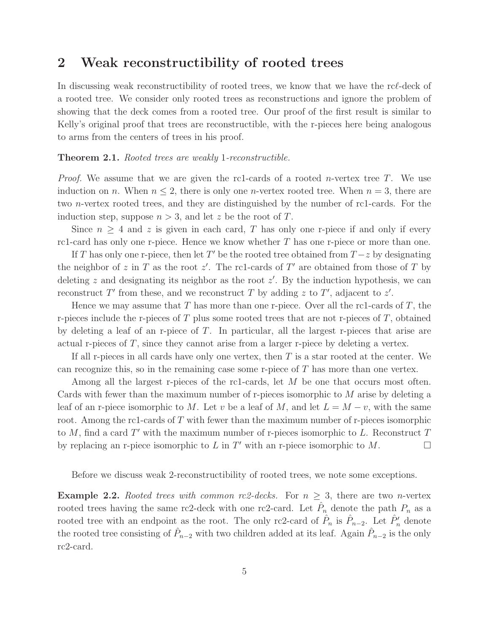## 2 Weak reconstructibility of rooted trees

In discussing weak reconstructibility of rooted trees, we know that we have the rc $\ell$ -deck of a rooted tree. We consider only rooted trees as reconstructions and ignore the problem of showing that the deck comes from a rooted tree. Our proof of the first result is similar to Kelly's original proof that trees are reconstructible, with the r-pieces here being analogous to arms from the centers of trees in his proof.

### Theorem 2.1. Rooted trees are weakly 1-reconstructible.

*Proof.* We assume that we are given the rc1-cards of a rooted *n*-vertex tree T. We use induction on n. When  $n \leq 2$ , there is only one n-vertex rooted tree. When  $n = 3$ , there are two n-vertex rooted trees, and they are distinguished by the number of rc1-cards. For the induction step, suppose  $n > 3$ , and let z be the root of T.

Since  $n \geq 4$  and z is given in each card, T has only one r-piece if and only if every rc1-card has only one r-piece. Hence we know whether  $T$  has one r-piece or more than one.

If T has only one r-piece, then let T' be the rooted tree obtained from  $T-z$  by designating the neighbor of z in T as the root  $z'$ . The rc1-cards of T' are obtained from those of T by deleting  $z$  and designating its neighbor as the root  $z'$ . By the induction hypothesis, we can reconstruct T' from these, and we reconstruct T by adding z to T', adjacent to z'.

Hence we may assume that T has more than one r-piece. Over all the rc1-cards of T, the r-pieces include the r-pieces of  $T$  plus some rooted trees that are not r-pieces of  $T$ , obtained by deleting a leaf of an r-piece of T. In particular, all the largest r-pieces that arise are actual r-pieces of  $T$ , since they cannot arise from a larger r-piece by deleting a vertex.

If all r-pieces in all cards have only one vertex, then  $T$  is a star rooted at the center. We can recognize this, so in the remaining case some r-piece of  $T$  has more than one vertex.

Among all the largest r-pieces of the rc1-cards, let  $M$  be one that occurs most often. Cards with fewer than the maximum number of r-pieces isomorphic to  $M$  arise by deleting a leaf of an r-piece isomorphic to M. Let v be a leaf of M, and let  $L = M - v$ , with the same root. Among the rc1-cards of T with fewer than the maximum number of r-pieces isomorphic to  $M$ , find a card  $T'$  with the maximum number of r-pieces isomorphic to  $L$ . Reconstruct  $T$ by replacing an r-piece isomorphic to L in T' with an r-piece isomorphic to M.

Before we discuss weak 2-reconstructibility of rooted trees, we note some exceptions.

**Example 2.2.** Rooted trees with common rc2-decks. For  $n \geq 3$ , there are two n-vertex rooted trees having the same rc2-deck with one rc2-card. Let  $\hat{P}_n$  denote the path  $P_n$  as a rooted tree with an endpoint as the root. The only rc2-card of  $\hat{P}_n$  is  $\hat{P}_{n-2}$ . Let  $\hat{P}'_n$  denote the rooted tree consisting of  $\hat{P}_{n-2}$  with two children added at its leaf. Again  $\hat{P}_{n-2}$  is the only rc2-card.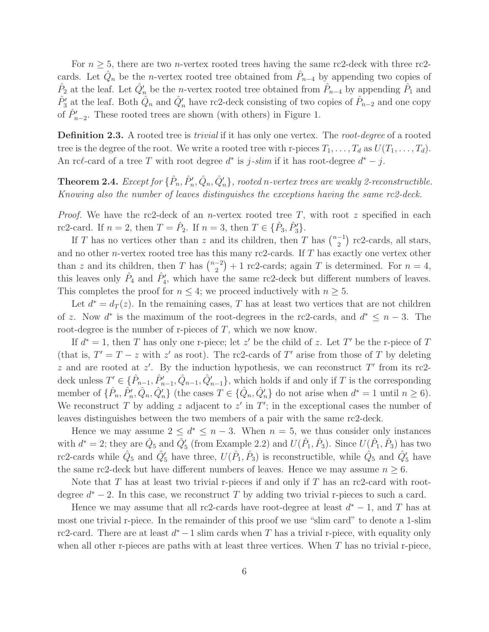For  $n \geq 5$ , there are two *n*-vertex rooted trees having the same rc2-deck with three rc2cards. Let  $\hat{Q}_n$  be the *n*-vertex rooted tree obtained from  $\hat{P}_{n-4}$  by appending two copies of  $\hat{P}_2$  at the leaf. Let  $\hat{Q}'_n$  be the *n*-vertex rooted tree obtained from  $\hat{P}_{n-4}$  by appending  $\hat{P}_1$  and  $\hat{P}'_3$  at the leaf. Both  $\hat{Q}_n$  and  $\hat{Q}'_n$  have rc2-deck consisting of two copies of  $\hat{P}_{n-2}$  and one copy of  $\hat{P}'_{n-2}$ . These rooted trees are shown (with others) in Figure 1.

**Definition 2.3.** A rooted tree is *trivial* if it has only one vertex. The *root-degree* of a rooted tree is the degree of the root. We write a rooted tree with r-pieces  $T_1, \ldots, T_d$  as  $U(T_1, \ldots, T_d)$ . An rcl-card of a tree T with root degree  $d^*$  is  $j$ -slim if it has root-degree  $d^* - j$ .

**Theorem 2.4.** Except for  $\{\hat{P}_n, \hat{P}'_n, \hat{Q}_n, \hat{Q}'_n\}$ , rooted n-vertex trees are weakly 2-reconstructible. Knowing also the number of leaves distinguishes the exceptions having the same rc2-deck.

*Proof.* We have the rc2-deck of an *n*-vertex rooted tree  $T$ , with root z specified in each rc2-card. If  $n = 2$ , then  $T = \hat{P}_2$ . If  $n = 3$ , then  $T \in {\{\hat{P}_3, \hat{P}'_3\}}$ .

If T has no vertices other than z and its children, then T has  $\binom{n-1}{2}$  $\binom{-1}{2}$  rc2-cards, all stars, and no other n-vertex rooted tree has this many rc2-cards. If T has exactly one vertex other than z and its children, then T has  $\binom{n-2}{2}$  $\binom{-2}{2}+1$  rc2-cards; again T is determined. For  $n=4$ , this leaves only  $\hat{P}_4$  and  $\hat{P}'_4$ , which have the same rc2-deck but different numbers of leaves. This completes the proof for  $n \leq 4$ ; we proceed inductively with  $n \geq 5$ .

Let  $d^* = d_T(z)$ . In the remaining cases, T has at least two vertices that are not children of z. Now  $d^*$  is the maximum of the root-degrees in the rc2-cards, and  $d^* \leq n-3$ . The root-degree is the number of r-pieces of T, which we now know.

If  $d^* = 1$ , then T has only one r-piece; let z' be the child of z. Let T' be the r-piece of T (that is,  $T' = T - z$  with z' as root). The rc2-cards of T' arise from those of T by deleting z and are rooted at  $z'$ . By the induction hypothesis, we can reconstruct T' from its rc2deck unless  $T' \in \{\hat{P}_{n-1}, \hat{P}_{n-1}', \hat{Q}_{n-1}, \hat{Q}_{n-1}'\}$ , which holds if and only if T is the corresponding member of  $\{\hat{P}_n, \hat{P}'_n, \hat{Q}_n, \hat{Q}'_n\}$  (the cases  $T \in \{\hat{Q}_n, \hat{Q}'_n\}$  do not arise when  $d^* = 1$  until  $n \ge 6$ ). We reconstruct T by adding z adjacent to  $z'$  in T'; in the exceptional cases the number of leaves distinguishes between the two members of a pair with the same rc2-deck.

Hence we may assume  $2 \leq d^* \leq n-3$ . When  $n = 5$ , we thus consider only instances with  $d^* = 2$ ; they are  $\hat{Q}_5$  and  $\hat{Q}'_5$  (from Example 2.2) and  $U(\hat{P}_1, \hat{P}_3)$ . Since  $U(\hat{P}_1, \hat{P}_3)$  has two rc2-cards while  $\hat{Q}_5$  and  $\hat{Q}'_5$  have three,  $U(\hat{P}_1, \hat{P}_3)$  is reconstructible, while  $\hat{Q}_5$  and  $\hat{Q}'_5$  have the same rc2-deck but have different numbers of leaves. Hence we may assume  $n \geq 6$ .

Note that T has at least two trivial r-pieces if and only if T has an rc2-card with rootdegree  $d^* - 2$ . In this case, we reconstruct T by adding two trivial r-pieces to such a card.

Hence we may assume that all rc2-cards have root-degree at least  $d^* - 1$ , and T has at most one trivial r-piece. In the remainder of this proof we use "slim card" to denote a 1-slim rc2-card. There are at least  $d^* - 1$  slim cards when T has a trivial r-piece, with equality only when all other r-pieces are paths with at least three vertices. When  $T$  has no trivial r-piece,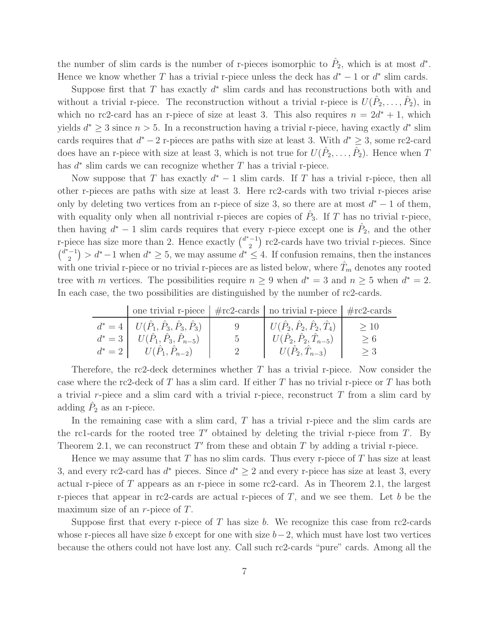the number of slim cards is the number of r-pieces isomorphic to  $\hat{P}_2$ , which is at most  $d^*$ . Hence we know whether T has a trivial r-piece unless the deck has  $d^* - 1$  or  $d^*$  slim cards.

Suppose first that  $T$  has exactly  $d^*$  slim cards and has reconstructions both with and without a trivial r-piece. The reconstruction without a trivial r-piece is  $U(\hat{P}_2,\ldots,\hat{P}_2)$ , in which no rc2-card has an r-piece of size at least 3. This also requires  $n = 2d^* + 1$ , which yields  $d^* \geq 3$  since  $n > 5$ . In a reconstruction having a trivial r-piece, having exactly  $d^*$  slim cards requires that  $d^* - 2$  r-pieces are paths with size at least 3. With  $d^* \geq 3$ , some rc2-card does have an r-piece with size at least 3, which is not true for  $U(\hat{P}_2,\ldots,\hat{P}_2)$ . Hence when T has  $d^*$  slim cards we can recognize whether T has a trivial r-piece.

Now suppose that T has exactly  $d^* - 1$  slim cards. If T has a trivial r-piece, then all other r-pieces are paths with size at least 3. Here rc2-cards with two trivial r-pieces arise only by deleting two vertices from an r-piece of size 3, so there are at most  $d^* - 1$  of them, with equality only when all nontrivial r-pieces are copies of  $\hat{P}_3$ . If T has no trivial r-piece, then having  $d^* - 1$  slim cards requires that every r-piece except one is  $\hat{P}_2$ , and the other r-piece has size more than 2. Hence exactly  $\binom{d^*-1}{2}$  $\binom{-1}{2}$  rc2-cards have two trivial r-pieces. Since  $\int_0^{\bar{d}^* - 1}$  $\binom{(-1)}{2}$  >  $d^*-1$  when  $d^* \geq 5$ , we may assume  $d^* \leq 4$ . If confusion remains, then the instances with one trivial r-piece or no trivial r-pieces are as listed below, where  $T_m$  denotes any rooted tree with m vertices. The possibilities require  $n \geq 9$  when  $d^* = 3$  and  $n \geq 5$  when  $d^* = 2$ . In each case, the two possibilities are distinguished by the number of rc2-cards.

| one trivial r-piece $\frac{1}{\pi}$ rc2-cards no trivial r-piece $\frac{1}{\pi}$ rc2-cards |         |                                                           |          |
|--------------------------------------------------------------------------------------------|---------|-----------------------------------------------------------|----------|
| $d^* = 4 \mid U(\hat{P}_1, \hat{P}_3, \hat{P}_3, \hat{P}_3) \mid$                          |         | $ U(\hat{P}_2, \hat{P}_2, \hat{P}_2, \hat{T}_4)  \geq 10$ |          |
| $d^* = 3$ $U(\hat{P}_1, \hat{P}_3, \hat{P}_{n-5})$                                         | $5 - 5$ | $  U(\hat{P}_2, \hat{P}_2, \hat{T}_{n-5})  $              | > 6      |
| $d^* = 2$ $U(\hat{P}_1, \hat{P}_{n-2})$                                                    | 2       | $U(\hat{P}_2,\hat{T}_{n-3})$                              | $\geq 3$ |

Therefore, the rc2-deck determines whether  $T$  has a trivial r-piece. Now consider the case where the rc2-deck of T has a slim card. If either T has no trivial r-piece or T has both a trivial r-piece and a slim card with a trivial r-piece, reconstruct  $T$  from a slim card by adding  $\hat{P}_2$  as an r-piece.

In the remaining case with a slim card,  $T$  has a trivial r-piece and the slim cards are the rc1-cards for the rooted tree  $T'$  obtained by deleting the trivial r-piece from  $T$ . By Theorem 2.1, we can reconstruct  $T'$  from these and obtain  $T$  by adding a trivial r-piece.

Hence we may assume that T has no slim cards. Thus every r-piece of T has size at least 3, and every rc2-card has  $d^*$  pieces. Since  $d^* \geq 2$  and every r-piece has size at least 3, every actual r-piece of T appears as an r-piece in some rc2-card. As in Theorem 2.1, the largest r-pieces that appear in rc2-cards are actual r-pieces of  $T$ , and we see them. Let b be the maximum size of an r-piece of T.

Suppose first that every r-piece of T has size b. We recognize this case from rc2-cards whose r-pieces all have size b except for one with size  $b-2$ , which must have lost two vertices because the others could not have lost any. Call such rc2-cards "pure" cards. Among all the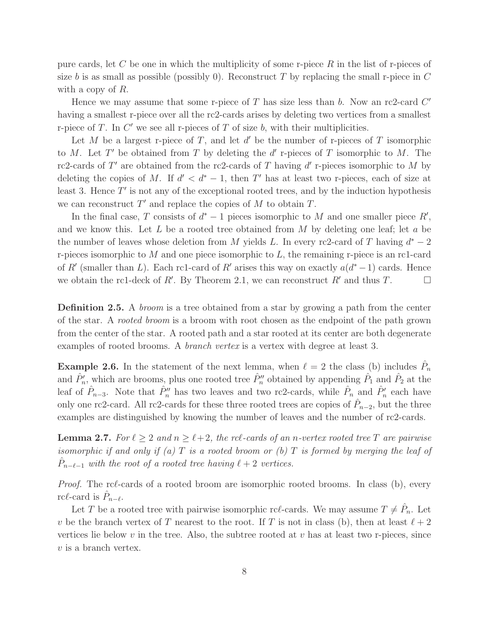pure cards, let C be one in which the multiplicity of some r-piece  $R$  in the list of r-pieces of size b is as small as possible (possibly 0). Reconstruct T by replacing the small r-piece in  $C$ with a copy of R.

Hence we may assume that some r-piece of  $T$  has size less than  $b$ . Now an rc2-card  $C'$ having a smallest r-piece over all the rc2-cards arises by deleting two vertices from a smallest r-piece of  $T$ . In  $C'$  we see all r-pieces of  $T$  of size  $b$ , with their multiplicities.

Let M be a largest r-piece of T, and let  $d'$  be the number of r-pieces of T isomorphic to M. Let T' be obtained from T by deleting the  $d'$  r-pieces of T isomorphic to M. The rc2-cards of T' are obtained from the rc2-cards of T having d' r-pieces isomorphic to M by deleting the copies of M. If  $d' < d^* - 1$ , then T' has at least two r-pieces, each of size at least 3. Hence  $T'$  is not any of the exceptional rooted trees, and by the induction hypothesis we can reconstruct  $T'$  and replace the copies of  $M$  to obtain  $T$ .

In the final case, T consists of  $d^* - 1$  pieces isomorphic to M and one smaller piece  $R'$ , and we know this. Let  $L$  be a rooted tree obtained from  $M$  by deleting one leaf; let  $a$  be the number of leaves whose deletion from M yields L. In every rc2-card of T having  $d^* - 2$ r-pieces isomorphic to  $M$  and one piece isomorphic to  $L$ , the remaining r-piece is an rc1-card of R' (smaller than L). Each rc1-card of R' arises this way on exactly  $a(d^*-1)$  cards. Hence we obtain the rc1-deck of R'. By Theorem 2.1, we can reconstruct R' and thus T.

**Definition 2.5.** A *broom* is a tree obtained from a star by growing a path from the center of the star. A rooted broom is a broom with root chosen as the endpoint of the path grown from the center of the star. A rooted path and a star rooted at its center are both degenerate examples of rooted brooms. A *branch vertex* is a vertex with degree at least 3.

**Example 2.6.** In the statement of the next lemma, when  $\ell = 2$  the class (b) includes  $\hat{P}_n$ and  $\hat{P}'_n$ , which are brooms, plus one rooted tree  $\hat{P}''_n$  obtained by appending  $\hat{P}_1$  and  $\hat{P}_2$  at the leaf of  $\hat{P}_{n-3}$ . Note that  $\hat{P}_n''$  has two leaves and two rc2-cards, while  $\hat{P}_n$  and  $\hat{P}_n'$  each have only one rc2-card. All rc2-cards for these three rooted trees are copies of  $\hat{P}_{n-2}$ , but the three examples are distinguished by knowing the number of leaves and the number of rc2-cards.

**Lemma 2.7.** For  $\ell \geq 2$  and  $n \geq \ell + 2$ , the rc $\ell$ -cards of an n-vertex rooted tree T are pairwise isomorphic if and only if (a) T is a rooted broom or (b) T is formed by merging the leaf of  $\hat{P}_{n-\ell-1}$  with the root of a rooted tree having  $\ell+2$  vertices.

Proof. The rcℓ-cards of a rooted broom are isomorphic rooted brooms. In class (b), every rc $\ell$ -card is  $\hat{P}_{n-\ell}$ .

Let T be a rooted tree with pairwise isomorphic rc $\ell$ -cards. We may assume  $T \neq \hat{P}_n$ . Let v be the branch vertex of T nearest to the root. If T is not in class (b), then at least  $\ell + 2$ vertices lie below  $v$  in the tree. Also, the subtree rooted at  $v$  has at least two r-pieces, since v is a branch vertex.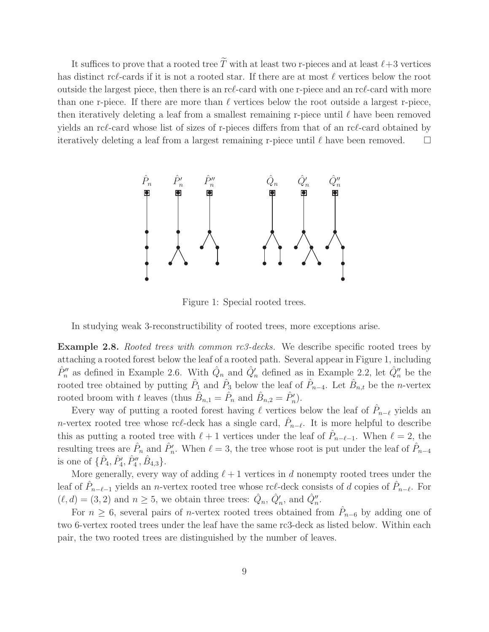It suffices to prove that a rooted tree  $\widetilde{T}$  with at least two r-pieces and at least  $\ell+3$  vertices has distinct rcℓ-cards if it is not a rooted star. If there are at most  $\ell$  vertices below the root outside the largest piece, then there is an rcℓ-card with one r-piece and an rcℓ-card with more than one r-piece. If there are more than  $\ell$  vertices below the root outside a largest r-piece, then iteratively deleting a leaf from a smallest remaining r-piece until  $\ell$  have been removed yields an rcℓ-card whose list of sizes of r-pieces differs from that of an rcℓ-card obtained by iteratively deleting a leaf from a largest remaining r-piece until  $\ell$  have been removed.  $\square$ 



Figure 1: Special rooted trees.

In studying weak 3-reconstructibility of rooted trees, more exceptions arise.

**Example 2.8.** Rooted trees with common  $rc3$ -decks. We describe specific rooted trees by attaching a rooted forest below the leaf of a rooted path. Several appear in Figure 1, including  $\hat{P}''_n$  as defined in Example 2.6. With  $\hat{Q}_n$  and  $\hat{Q}'_n$  defined as in Example 2.2, let  $\hat{Q}''_n$  be the rooted tree obtained by putting  $\hat{P}_1$  and  $\hat{P}_3$  below the leaf of  $\hat{P}_{n-4}$ . Let  $\hat{B}_{n,t}$  be the *n*-vertex rooted broom with t leaves (thus  $\hat{B}_{n,1} = \hat{P}_n$  and  $\hat{B}_{n,2} = \hat{P}'_n$ ).

Every way of putting a rooted forest having  $\ell$  vertices below the leaf of  $\hat{P}_{n-\ell}$  yields an *n*-vertex rooted tree whose rc $\ell$ -deck has a single card,  $\hat{P}_{n-\ell}$ . It is more helpful to describe this as putting a rooted tree with  $\ell+1$  vertices under the leaf of  $\hat{P}_{n-\ell-1}$ . When  $\ell=2$ , the resulting trees are  $\hat{P}_n$  and  $\hat{P}'_n$ . When  $\ell = 3$ , the tree whose root is put under the leaf of  $\hat{P}_{n-4}$ is one of  $\{\hat{P}_4, \hat{P}_4', \hat{P}_4'', \hat{B}_{4,3}\}.$ 

More generally, every way of adding  $\ell + 1$  vertices in d nonempty rooted trees under the leaf of  $\hat{P}_{n-\ell-1}$  yields an *n*-vertex rooted tree whose rc $\ell$ -deck consists of d copies of  $\hat{P}_{n-\ell}$ . For  $(\ell, d) = (3, 2)$  and  $n \ge 5$ , we obtain three trees:  $\hat{Q}_n$ ,  $\hat{Q}'_n$ , and  $\hat{Q}''_n$ .

For  $n \geq 6$ , several pairs of *n*-vertex rooted trees obtained from  $\hat{P}_{n-6}$  by adding one of two 6-vertex rooted trees under the leaf have the same rc3-deck as listed below. Within each pair, the two rooted trees are distinguished by the number of leaves.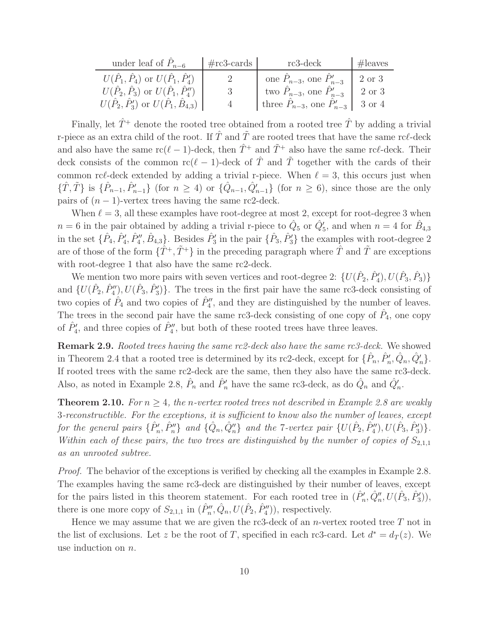| under leaf of $P_{n-6}$                                                                                             | $\#rc3$ -cards | rc3-deck                                                         | $\#$ leaves      |
|---------------------------------------------------------------------------------------------------------------------|----------------|------------------------------------------------------------------|------------------|
| $U(\hat{P}_1, \hat{P}_4)$ or $U(\hat{P}_1, \hat{P}'_4)$<br>$U(\hat{P}_2, \hat{P}_3)$ or $U(\hat{P}_1, \hat{P}_4'')$ |                | one $P_{n-3}$ , one $P'_{n-3}$<br>two $P_{n-3}$ , one $P'_{n-3}$ | 2 or 3<br>2 or 3 |
| $U(\hat{P}_2, \hat{P}'_3)$ or $U(\hat{P}_1, \hat{B}_{4,3})$                                                         | 4              | three $P_{n-3}$ , one $P'_{n-3}$   3 or 4                        |                  |

Finally, let  $\hat{T}^+$  denote the rooted tree obtained from a rooted tree  $\hat{T}$  by adding a trivial r-piece as an extra child of the root. If  $\hat{T}$  and  $\tilde{T}$  are rooted trees that have the same rcl-deck and also have the same  $\text{rc}(\ell-1)$ -deck, then  $\hat{T}^+$  and  $\tilde{T}^+$  also have the same rc $\ell$ -deck. Their deck consists of the common rc( $\ell-1$ )-deck of  $\hat{T}$  and  $\tilde{T}$  together with the cards of their common rc $\ell$ -deck extended by adding a trivial r-piece. When  $\ell = 3$ , this occurs just when  $\{\hat{T}, \tilde{T}\}\$ is  $\{\hat{P}_{n-1}, \hat{P}_{n-1}'\}$  (for  $n \geq 4$ ) or  $\{\hat{Q}_{n-1}, \hat{Q}_{n-1}'\}$  (for  $n \geq 6$ ), since those are the only pairs of  $(n - 1)$ -vertex trees having the same rc2-deck.

When  $\ell = 3$ , all these examples have root-degree at most 2, except for root-degree 3 when  $n = 6$  in the pair obtained by adding a trivial r-piece to  $\hat{Q}_5$  or  $\hat{Q}'_5$ , and when  $n = 4$  for  $\hat{B}_{4,3}$ in the set  $\{\hat{P}_4, \hat{P}'_4, \hat{P}''_4, \hat{B}_{4,3}\}$ . Besides  $\hat{P}'_3$  in the pair  $\{\hat{P}_3, \hat{P}'_3\}$  the examples with root-degree 2 are of those of the form  $\{\hat{T}^+, \tilde{T}^+\}$  in the preceding paragraph where  $\hat{T}$  and  $\tilde{T}$  are exceptions with root-degree 1 that also have the same rc2-deck.

We mention two more pairs with seven vertices and root-degree 2:  $\{U(\hat{P}_2, \hat{P}'_4), U(\hat{P}_3, \hat{P}_3)\}$ and  $\{U(\hat{P}_2, \hat{P}_4''), U(\hat{P}_3, \hat{P}_3')\}$ . The trees in the first pair have the same rc3-deck consisting of two copies of  $\hat{P}_4$  and two copies of  $\hat{P}_4''$ , and they are distinguished by the number of leaves. The trees in the second pair have the same rc3-deck consisting of one copy of  $\hat{P}_4$ , one copy of  $\hat{P}'_4$ , and three copies of  $\hat{P}''_4$ , but both of these rooted trees have three leaves.

Remark 2.9. Rooted trees having the same rc2-deck also have the same rc3-deck. We showed in Theorem 2.4 that a rooted tree is determined by its rc2-deck, except for  $\{\hat{P}_n, \hat{P}'_n, \hat{Q}_n, \hat{Q}'_n\}$ . If rooted trees with the same rc2-deck are the same, then they also have the same rc3-deck. Also, as noted in Example 2.8,  $\hat{P}_n$  and  $\hat{P}'_n$  have the same rc3-deck, as do  $\hat{Q}_n$  and  $\hat{Q}'_n$ .

**Theorem 2.10.** For  $n > 4$ , the n-vertex rooted trees not described in Example 2.8 are weakly 3-reconstructible. For the exceptions, it is sufficient to know also the number of leaves, except for the general pairs  $\{\hat{P}'_n, \hat{P}''_n\}$  and  $\{\hat{Q}_n, \hat{Q}''_n\}$  and the 7-vertex pair  $\{U(\hat{P}_2, \hat{P}''_4), U(\hat{P}_3, \hat{P}'_3)\}.$ Within each of these pairs, the two trees are distinguished by the number of copies of  $S_{2,1,1}$ as an unrooted subtree.

Proof. The behavior of the exceptions is verified by checking all the examples in Example 2.8. The examples having the same rc3-deck are distinguished by their number of leaves, except for the pairs listed in this theorem statement. For each rooted tree in  $(\hat{P}'_n, \hat{Q}''_n, U(\hat{P}_3, \hat{P}'_3)),$ there is one more copy of  $S_{2,1,1}$  in  $(\hat{P}''_n, \hat{Q}_n, U(\hat{P}_2, \hat{P}''_4))$ , respectively.

Hence we may assume that we are given the rc3-deck of an *n*-vertex rooted tree  $T$  not in the list of exclusions. Let z be the root of T, specified in each rc3-card. Let  $d^* = d_T(z)$ . We use induction on n.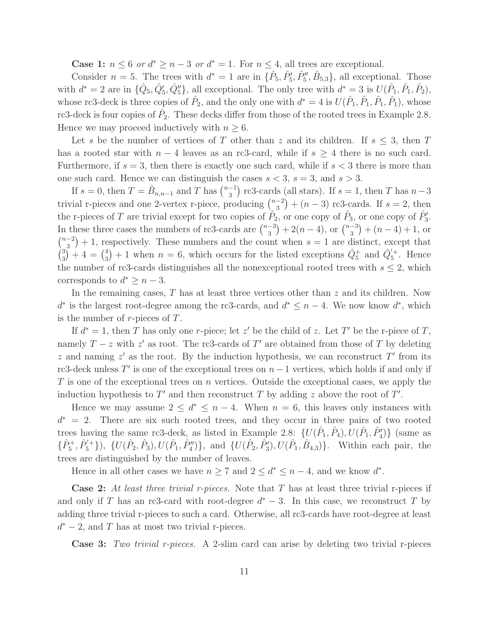**Case 1:**  $n \leq 6$  or  $d^* \geq n-3$  or  $d^* = 1$ . For  $n \leq 4$ , all trees are exceptional.

Consider  $n = 5$ . The trees with  $d^* = 1$  are in  $\{\hat{P}_5, \hat{P}_5', \hat{P}_5'', \hat{B}_{5,3}\}\$ , all exceptional. Those with  $d^* = 2$  are in  $\{\hat{Q}_5, \hat{Q}_5, \hat{Q}_5''\}$ , all exceptional. The only tree with  $d^* = 3$  is  $U(\hat{P}_1, \hat{P}_1, \hat{P}_2)$ , whose rc3-deck is three copies of  $\hat{P}_2$ , and the only one with  $d^* = 4$  is  $U(\hat{P}_1, \hat{P}_1, \hat{P}_1, \hat{P}_1)$ , whose rc3-deck is four copies of  $\hat{P}_2$ . These decks differ from those of the rooted trees in Example 2.8. Hence we may proceed inductively with  $n \geq 6$ .

Let s be the number of vertices of T other than z and its children. If  $s \leq 3$ , then T has a rooted star with  $n-4$  leaves as an rc3-card, while if  $s \geq 4$  there is no such card. Furthermore, if  $s = 3$ , then there is exactly one such card, while if  $s < 3$  there is more than one such card. Hence we can distinguish the cases  $s < 3$ ,  $s = 3$ , and  $s > 3$ .

If  $s = 0$ , then  $T = \hat{B}_{n,n-1}$  and T has  $\binom{n-1}{3}$  $\binom{-1}{3}$  rc3-cards (all stars). If  $s = 1$ , then T has  $n-3$ trivial r-pieces and one 2-vertex r-piece, producing  $\binom{n-2}{3}$  $\binom{-2}{3}$  +  $(n-3)$  rc3-cards. If  $s = 2$ , then the r-pieces of T are trivial except for two copies of  $\hat{P}_2$ , or one copy of  $\hat{P}_3$ , or one copy of  $\hat{P}'_3$ . In these three cases the numbers of rc3-cards are  $\binom{n-3}{3}$  $\binom{-3}{3} + 2(n-4)$ , or  $\binom{n-3}{3}$  $\binom{-3}{3} + (n-4) + 1$ , or  $\binom{n-2}{2}$  $\binom{-2}{3}$  + 1, respectively. These numbers and the count when  $s = 1$  are distinct, except that  $\binom{3}{3}$  $\binom{3}{3}+4=\binom{4}{3}$  $\hat{Q}_5^+$  + 1 when  $n = 6$ , which occurs for the listed exceptions  $\hat{Q}_5^+$  and  $\hat{Q}_5'^{+}$ . Hence the number of rc3-cards distinguishes all the nonexceptional rooted trees with  $s \leq 2$ , which corresponds to  $d^* \geq n-3$ .

In the remaining cases,  $T$  has at least three vertices other than  $z$  and its children. Now  $d^*$  is the largest root-degree among the rc3-cards, and  $d^* \leq n-4$ . We now know  $d^*$ , which is the number of  $r$ -pieces of  $T$ .

If  $d^* = 1$ , then T has only one r-piece; let z' be the child of z. Let T' be the r-piece of T, namely  $T - z$  with  $z'$  as root. The rc3-cards of T' are obtained from those of T by deleting z and naming  $z'$  as the root. By the induction hypothesis, we can reconstruct T' from its rc3-deck unless  $T'$  is one of the exceptional trees on  $n-1$  vertices, which holds if and only if  $T$  is one of the exceptional trees on  $n$  vertices. Outside the exceptional cases, we apply the induction hypothesis to  $T'$  and then reconstruct T by adding z above the root of  $T'$ .

Hence we may assume  $2 \leq d^* \leq n-4$ . When  $n = 6$ , this leaves only instances with  $d^* = 2$ . There are six such rooted trees, and they occur in three pairs of two rooted trees having the same rc3-deck, as listed in Example 2.8:  $\{U(\hat{P}_1, \hat{P}_4), U(\hat{P}_1, \hat{P}'_4)\}$  (same as  $\{\hat{P}_5^+,\hat{P}_5^{\prime+}\}\)$ ,  $\{U(\hat{P}_2,\hat{P}_3),U(\hat{P}_1,\hat{P}_4^{\prime\prime})\}$ , and  $\{U(\hat{P}_2,\hat{P}_3),U(\hat{P}_1,\hat{B}_{4,3})\}$ . Within each pair, the trees are distinguished by the number of leaves.

Hence in all other cases we have  $n \geq 7$  and  $2 \leq d^* \leq n-4$ , and we know  $d^*$ .

**Case 2:** At least three trivial r-pieces. Note that T has at least three trivial r-pieces if and only if T has an rc3-card with root-degree  $d^* - 3$ . In this case, we reconstruct T by adding three trivial r-pieces to such a card. Otherwise, all rc3-cards have root-degree at least  $d^*$  – 2, and T has at most two trivial r-pieces.

Case 3: Two trivial r-pieces. A 2-slim card can arise by deleting two trivial r-pieces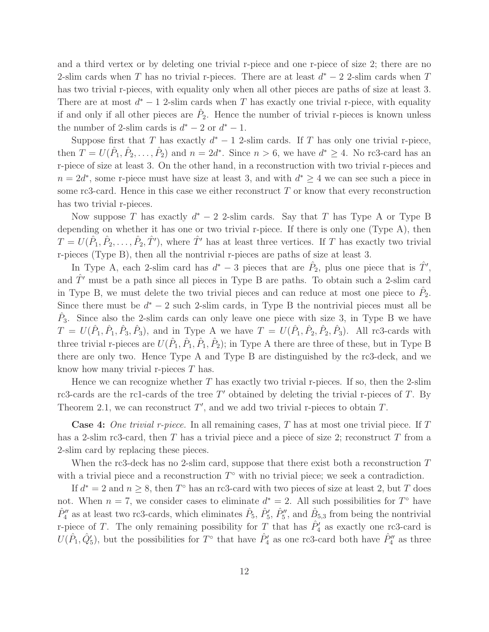and a third vertex or by deleting one trivial r-piece and one r-piece of size 2; there are no 2-slim cards when T has no trivial r-pieces. There are at least  $d^* - 2$  2-slim cards when T has two trivial r-pieces, with equality only when all other pieces are paths of size at least 3. There are at most  $d^* - 1$  2-slim cards when T has exactly one trivial r-piece, with equality if and only if all other pieces are  $\hat{P}_2$ . Hence the number of trivial r-pieces is known unless the number of 2-slim cards is  $d^* - 2$  or  $d^* - 1$ .

Suppose first that T has exactly  $d^* - 1$  2-slim cards. If T has only one trivial r-piece, then  $T = U(\hat{P}_1, \hat{P}_2, \dots, \hat{P}_2)$  and  $n = 2d^*$ . Since  $n > 6$ , we have  $d^* \geq 4$ . No rc3-card has an r-piece of size at least 3. On the other hand, in a reconstruction with two trivial r-pieces and  $n = 2d^*$ , some r-piece must have size at least 3, and with  $d^* \geq 4$  we can see such a piece in some rc3-card. Hence in this case we either reconstruct  $T$  or know that every reconstruction has two trivial r-pieces.

Now suppose T has exactly  $d^* - 2$  2-slim cards. Say that T has Type A or Type B depending on whether it has one or two trivial r-piece. If there is only one (Type A), then  $T = U(\hat{P}_1, \hat{P}_2, \ldots, \hat{P}_2, \hat{T}')$ , where  $\hat{T}'$  has at least three vertices. If T has exactly two trivial r-pieces (Type B), then all the nontrivial r-pieces are paths of size at least 3.

In Type A, each 2-slim card has  $d^* - 3$  pieces that are  $\hat{P}_2$ , plus one piece that is  $\hat{T}'$ , and  $T'$  must be a path since all pieces in Type B are paths. To obtain such a 2-slim card in Type B, we must delete the two trivial pieces and can reduce at most one piece to  $\hat{P}_2$ . Since there must be  $d^* - 2$  such 2-slim cards, in Type B the nontrivial pieces must all be  $\hat{P}_3$ . Since also the 2-slim cards can only leave one piece with size 3, in Type B we have  $T = U(\hat{P}_1, \hat{P}_1, \hat{P}_3, \hat{P}_3)$ , and in Type A we have  $T = U(\hat{P}_1, \hat{P}_2, \hat{P}_3, \hat{P}_3)$ . All rc3-cards with three trivial r-pieces are  $U(\hat{P}_1, \hat{P}_1, \hat{P}_2)$ ; in Type A there are three of these, but in Type B there are only two. Hence Type A and Type B are distinguished by the rc3-deck, and we know how many trivial r-pieces T has.

Hence we can recognize whether  $T$  has exactly two trivial r-pieces. If so, then the 2-slim rc3-cards are the rc1-cards of the tree  $T'$  obtained by deleting the trivial r-pieces of  $T$ . By Theorem 2.1, we can reconstruct  $T'$ , and we add two trivial r-pieces to obtain  $T$ .

**Case 4:** One trivial r-piece. In all remaining cases, T has at most one trivial piece. If T has a 2-slim rc3-card, then T has a trivial piece and a piece of size 2; reconstruct T from a 2-slim card by replacing these pieces.

When the rc3-deck has no 2-slim card, suppose that there exist both a reconstruction  $T$ with a trivial piece and a reconstruction  $T^{\circ}$  with no trivial piece; we seek a contradiction.

If  $d^* = 2$  and  $n \geq 8$ , then  $T^{\circ}$  has an rc3-card with two pieces of size at least 2, but T does not. When  $n = 7$ , we consider cases to eliminate  $d^* = 2$ . All such possibilities for  $T^{\circ}$  have  $\hat{P}''_4$  as at least two rc3-cards, which eliminates  $\hat{P}_5$ ,  $\hat{P}'_5$ ,  $\hat{P}''_5$ , and  $\hat{B}_{5,3}$  from being the nontrivial r-piece of T. The only remaining possibility for T that has  $\hat{P}'_4$  as exactly one rc3-card is  $U(\hat{P}_1, \hat{Q}'_5)$ , but the possibilities for  $T^{\circ}$  that have  $\hat{P}'_4$  as one rc3-card both have  $\hat{P}''_4$  as three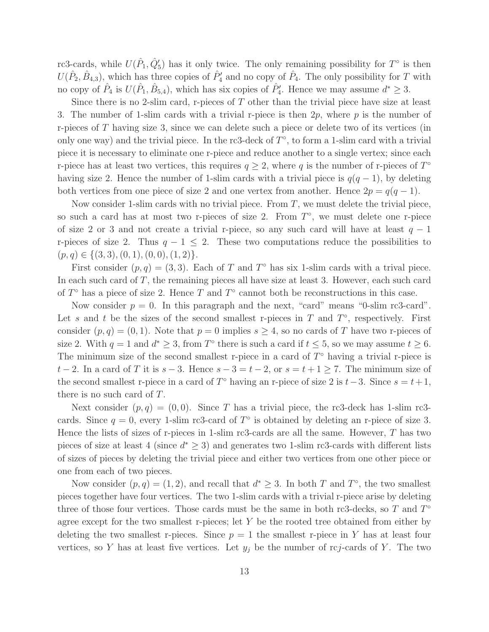rc3-cards, while  $U(\hat{P}_1, \hat{Q}'_5)$  has it only twice. The only remaining possibility for  $T^{\circ}$  is then  $U(\hat{P}_2, \hat{B}_{4,3})$ , which has three copies of  $\hat{P}'_4$  and no copy of  $\hat{P}_4$ . The only possibility for T with no copy of  $\hat{P}_4$  is  $U(\hat{P}_1, \hat{B}_{5,4})$ , which has six copies of  $\hat{P}'_4$ . Hence we may assume  $d^* \geq 3$ .

Since there is no 2-slim card, r-pieces of  $T$  other than the trivial piece have size at least 3. The number of 1-slim cards with a trivial r-piece is then  $2p$ , where p is the number of r-pieces of T having size 3, since we can delete such a piece or delete two of its vertices (in only one way) and the trivial piece. In the rc3-deck of  $T^{\circ}$ , to form a 1-slim card with a trivial piece it is necessary to eliminate one r-piece and reduce another to a single vertex; since each r-piece has at least two vertices, this requires  $q \geq 2$ , where q is the number of r-pieces of  $T^{\circ}$ having size 2. Hence the number of 1-slim cards with a trivial piece is  $q(q-1)$ , by deleting both vertices from one piece of size 2 and one vertex from another. Hence  $2p = q(q-1)$ .

Now consider 1-slim cards with no trivial piece. From  $T$ , we must delete the trivial piece, so such a card has at most two r-pieces of size 2. From  $T^{\circ}$ , we must delete one r-piece of size 2 or 3 and not create a trivial r-piece, so any such card will have at least  $q - 1$ r-pieces of size 2. Thus  $q - 1 \leq 2$ . These two computations reduce the possibilities to  $(p, q) \in \{(3, 3), (0, 1), (0, 0), (1, 2)\}.$ 

First consider  $(p, q) = (3, 3)$ . Each of T and T<sup>o</sup> has six 1-slim cards with a trival piece. In each such card of  $T$ , the remaining pieces all have size at least 3. However, each such card of  $T^{\circ}$  has a piece of size 2. Hence T and  $T^{\circ}$  cannot both be reconstructions in this case.

Now consider  $p = 0$ . In this paragraph and the next, "card" means "0-slim rc3-card". Let s and t be the sizes of the second smallest r-pieces in  $T$  and  $T^{\circ}$ , respectively. First consider  $(p, q) = (0, 1)$ . Note that  $p = 0$  implies  $s \geq 4$ , so no cards of T have two r-pieces of size 2. With  $q = 1$  and  $d^* \geq 3$ , from  $T^{\circ}$  there is such a card if  $t \leq 5$ , so we may assume  $t \geq 6$ . The minimum size of the second smallest r-piece in a card of  $T^{\circ}$  having a trivial r-piece is  $t-2$ . In a card of T it is  $s-3$ . Hence  $s-3=t-2$ , or  $s=t+1\geq 7$ . The minimum size of the second smallest r-piece in a card of  $T^{\circ}$  having an r-piece of size 2 is  $t-3$ . Since  $s = t+1$ , there is no such card of T.

Next consider  $(p, q) = (0, 0)$ . Since T has a trivial piece, the rc3-deck has 1-slim rc3cards. Since  $q = 0$ , every 1-slim rc3-card of  $T^{\circ}$  is obtained by deleting an r-piece of size 3. Hence the lists of sizes of r-pieces in 1-slim rc3-cards are all the same. However,  $T$  has two pieces of size at least 4 (since  $d^* \geq 3$ ) and generates two 1-slim rc3-cards with different lists of sizes of pieces by deleting the trivial piece and either two vertices from one other piece or one from each of two pieces.

Now consider  $(p, q) = (1, 2)$ , and recall that  $d^* \geq 3$ . In both T and  $T^{\circ}$ , the two smallest pieces together have four vertices. The two 1-slim cards with a trivial r-piece arise by deleting three of those four vertices. Those cards must be the same in both rc3-decks, so  $T$  and  $T^{\circ}$ agree except for the two smallest r-pieces; let  $Y$  be the rooted tree obtained from either by deleting the two smallest r-pieces. Since  $p = 1$  the smallest r-piece in Y has at least four vertices, so Y has at least five vertices. Let  $y_j$  be the number of rcj-cards of Y. The two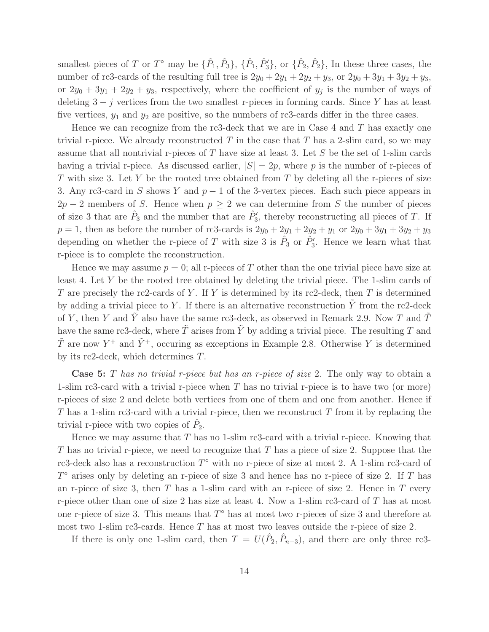smallest pieces of T or T<sup>o</sup> may be  $\{\hat{P}_1, \hat{P}_3\}$ ,  $\{\hat{P}_1, \hat{P}_3\}$ , or  $\{\hat{P}_2, \hat{P}_2\}$ , In these three cases, the number of rc3-cards of the resulting full tree is  $2y_0 + 2y_1 + 2y_2 + y_3$ , or  $2y_0 + 3y_1 + 3y_2 + y_3$ , or  $2y_0 + 3y_1 + 2y_2 + y_3$ , respectively, where the coefficient of  $y_j$  is the number of ways of deleting  $3 - j$  vertices from the two smallest r-pieces in forming cards. Since Y has at least five vertices,  $y_1$  and  $y_2$  are positive, so the numbers of rc3-cards differ in the three cases.

Hence we can recognize from the rc3-deck that we are in Case 4 and  $T$  has exactly one trivial r-piece. We already reconstructed  $T$  in the case that  $T$  has a 2-slim card, so we may assume that all nontrivial r-pieces of  $T$  have size at least 3. Let  $S$  be the set of 1-slim cards having a trivial r-piece. As discussed earlier,  $|S| = 2p$ , where p is the number of r-pieces of T with size 3. Let Y be the rooted tree obtained from T by deleting all the r-pieces of size 3. Any rc3-card in S shows Y and  $p - 1$  of the 3-vertex pieces. Each such piece appears in  $2p-2$  members of S. Hence when  $p \geq 2$  we can determine from S the number of pieces of size 3 that are  $\hat{P}_3$  and the number that are  $\hat{P}'_3$ , thereby reconstructing all pieces of T. If  $p = 1$ , then as before the number of rc3-cards is  $2y_0 + 2y_1 + 2y_2 + y_1$  or  $2y_0 + 3y_1 + 3y_2 + y_3$ depending on whether the r-piece of T with size 3 is  $\hat{P}_3$  or  $\hat{P}'_3$ . Hence we learn what that r-piece is to complete the reconstruction.

Hence we may assume  $p = 0$ ; all r-pieces of T other than the one trivial piece have size at least 4. Let Y be the rooted tree obtained by deleting the trivial piece. The 1-slim cards of T are precisely the rc2-cards of Y. If Y is determined by its rc2-deck, then T is determined by adding a trivial piece to Y. If there is an alternative reconstruction  $\tilde{Y}$  from the rc2-deck of Y, then Y and  $\tilde{Y}$  also have the same rc3-deck, as observed in Remark 2.9. Now T and  $\tilde{T}$ have the same rc3-deck, where  $\tilde{T}$  arises from  $\tilde{Y}$  by adding a trivial piece. The resulting T and  $\tilde{T}$  are now  $Y^+$  and  $\tilde{Y}^+$ , occuring as exceptions in Example 2.8. Otherwise Y is determined by its rc2-deck, which determines T.

**Case 5:** T has no trivial r-piece but has an r-piece of size 2. The only way to obtain a 1-slim rc3-card with a trivial r-piece when T has no trivial r-piece is to have two (or more) r-pieces of size 2 and delete both vertices from one of them and one from another. Hence if T has a 1-slim rc3-card with a trivial r-piece, then we reconstruct  $T$  from it by replacing the trivial r-piece with two copies of  $\hat{P}_2$ .

Hence we may assume that T has no 1-slim rc3-card with a trivial r-piece. Knowing that T has no trivial r-piece, we need to recognize that T has a piece of size 2. Suppose that the rc3-deck also has a reconstruction  $T^{\circ}$  with no r-piece of size at most 2. A 1-slim rc3-card of  $T^{\circ}$  arises only by deleting an r-piece of size 3 and hence has no r-piece of size 2. If T has an r-piece of size 3, then  $T$  has a 1-slim card with an r-piece of size 2. Hence in  $T$  every r-piece other than one of size 2 has size at least 4. Now a 1-slim rc3-card of  $T$  has at most one r-piece of size 3. This means that  $T^{\circ}$  has at most two r-pieces of size 3 and therefore at most two 1-slim rc3-cards. Hence  $T$  has at most two leaves outside the r-piece of size 2.

If there is only one 1-slim card, then  $T = U(\hat{P}_2, \hat{P}_{n-3})$ , and there are only three rc3-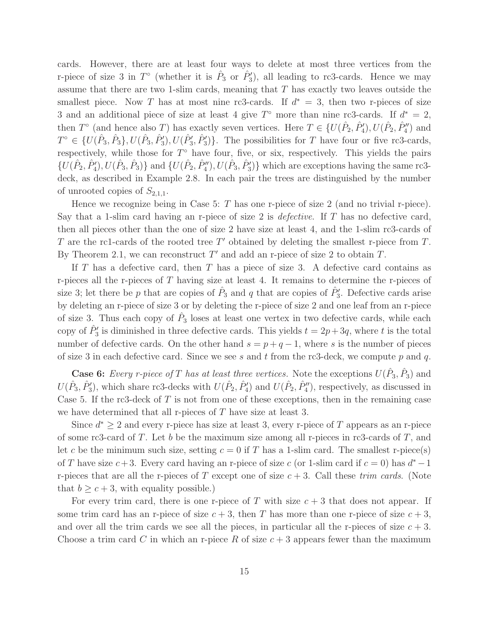cards. However, there are at least four ways to delete at most three vertices from the r-piece of size 3 in  $T^{\circ}$  (whether it is  $\hat{P}_3$  or  $\hat{P}'_3$ ), all leading to rc3-cards. Hence we may assume that there are two 1-slim cards, meaning that T has exactly two leaves outside the smallest piece. Now T has at most nine rc3-cards. If  $d^* = 3$ , then two r-pieces of size 3 and an additional piece of size at least 4 give  $T^{\circ}$  more than nine rc3-cards. If  $d^* = 2$ , then  $T^{\circ}$  (and hence also T) has exactly seven vertices. Here  $T \in \{U(\hat{P}_2, \hat{P}'_4), U(\hat{P}_2, \hat{P}''_4) \}$  and  $T^{\circ} \in \{U(\hat{P}_3, \hat{P}_3), U(\hat{P}_3, \hat{P}_3'), U(\hat{P}_3', \hat{P}_3')\}.$  The possibilities for T have four or five rc3-cards, respectively, while those for  $T^{\circ}$  have four, five, or six, respectively. This yields the pairs  $\{U(\hat{P}_2, \hat{P}'_4), U(\hat{P}_3, \hat{P}_3)\}\$ and  $\{U(\hat{P}_2, \hat{P}''_4), U(\hat{P}_3, \hat{P}'_3)\}\$ which are exceptions having the same rc3deck, as described in Example 2.8. In each pair the trees are distinguished by the number of unrooted copies of  $S_{2,1,1}$ .

Hence we recognize being in Case 5: T has one r-piece of size 2 (and no trivial r-piece). Say that a 1-slim card having an r-piece of size 2 is *defective*. If  $T$  has no defective card, then all pieces other than the one of size 2 have size at least 4, and the 1-slim rc3-cards of T are the rc1-cards of the rooted tree  $T'$  obtained by deleting the smallest r-piece from  $T$ . By Theorem 2.1, we can reconstruct  $T'$  and add an r-piece of size 2 to obtain  $T$ .

If T has a defective card, then T has a piece of size 3. A defective card contains as r-pieces all the r-pieces of  $T$  having size at least 4. It remains to determine the r-pieces of size 3; let there be p that are copies of  $\hat{P}_3$  and q that are copies of  $\hat{P}'_3$ . Defective cards arise by deleting an r-piece of size 3 or by deleting the r-piece of size 2 and one leaf from an r-piece of size 3. Thus each copy of  $\hat{P}_3$  loses at least one vertex in two defective cards, while each copy of  $\hat{P}'_3$  is diminished in three defective cards. This yields  $t = 2p + 3q$ , where t is the total number of defective cards. On the other hand  $s = p + q - 1$ , where s is the number of pieces of size 3 in each defective card. Since we see s and t from the rc3-deck, we compute p and q.

**Case 6:** Every r-piece of T has at least three vertices. Note the exceptions  $U(\hat{P}_3, \hat{P}_3)$  and  $U(\hat{P}_3, \hat{P}'_3)$ , which share rc3-decks with  $U(\hat{P}_2, \hat{P}'_4)$  and  $U(\hat{P}_2, \hat{P}''_4)$ , respectively, as discussed in Case 5. If the rc3-deck of  $T$  is not from one of these exceptions, then in the remaining case we have determined that all r-pieces of T have size at least 3.

Since  $d^* \geq 2$  and every r-piece has size at least 3, every r-piece of T appears as an r-piece of some rc3-card of  $T$ . Let  $b$  be the maximum size among all r-pieces in rc3-cards of  $T$ , and let c be the minimum such size, setting  $c = 0$  if T has a 1-slim card. The smallest r-piece(s) of T have size  $c+3$ . Every card having an r-piece of size c (or 1-slim card if  $c=0$ ) has  $d^*-1$ r-pieces that are all the r-pieces of T except one of size  $c + 3$ . Call these trim cards. (Note that  $b \geq c+3$ , with equality possible.)

For every trim card, there is one r-piece of T with size  $c + 3$  that does not appear. If some trim card has an r-piece of size  $c + 3$ , then T has more than one r-piece of size  $c + 3$ , and over all the trim cards we see all the pieces, in particular all the r-pieces of size  $c + 3$ . Choose a trim card C in which an r-piece R of size  $c + 3$  appears fewer than the maximum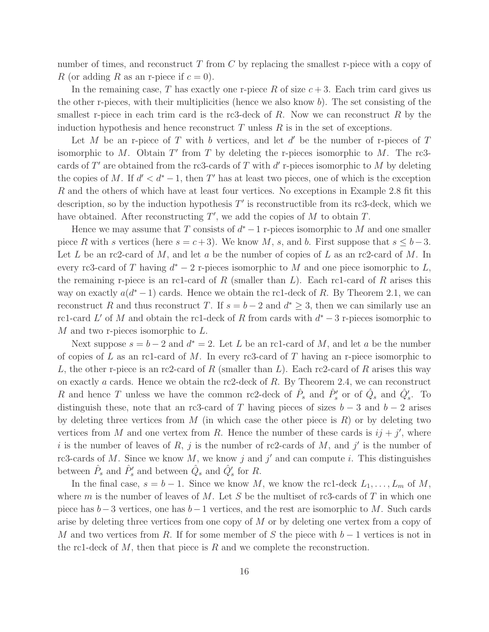number of times, and reconstruct  $T$  from  $C$  by replacing the smallest r-piece with a copy of R (or adding R as an r-piece if  $c = 0$ ).

In the remaining case, T has exactly one r-piece R of size  $c + 3$ . Each trim card gives us the other r-pieces, with their multiplicities (hence we also know  $b$ ). The set consisting of the smallest r-piece in each trim card is the rc3-deck of  $R$ . Now we can reconstruct  $R$  by the induction hypothesis and hence reconstruct  $T$  unless  $R$  is in the set of exceptions.

Let  $M$  be an r-piece of  $T$  with  $b$  vertices, and let  $d'$  be the number of r-pieces of  $T$ isomorphic to  $M$ . Obtain  $T'$  from  $T$  by deleting the r-pieces isomorphic to  $M$ . The rc3cards of  $T'$  are obtained from the rc3-cards of  $T$  with  $d'$  r-pieces isomorphic to  $M$  by deleting the copies of M. If  $d' < d^* - 1$ , then T' has at least two pieces, one of which is the exception R and the others of which have at least four vertices. No exceptions in Example 2.8 fit this description, so by the induction hypothesis  $T'$  is reconstructible from its rc3-deck, which we have obtained. After reconstructing  $T'$ , we add the copies of  $M$  to obtain  $T$ .

Hence we may assume that  $T$  consists of  $d^* - 1$  r-pieces isomorphic to  $M$  and one smaller piece R with s vertices (here  $s = c+3$ ). We know M, s, and b. First suppose that  $s \leq b-3$ . Let L be an rc2-card of M, and let a be the number of copies of L as an rc2-card of M. In every rc3-card of T having  $d^* - 2$  r-pieces isomorphic to M and one piece isomorphic to L, the remaining r-piece is an rc1-card of R (smaller than  $L$ ). Each rc1-card of R arises this way on exactly  $a(d^*-1)$  cards. Hence we obtain the rc1-deck of R. By Theorem 2.1, we can reconstruct R and thus reconstruct T. If  $s = b - 2$  and  $d^* \geq 3$ , then we can similarly use an rc1-card L' of M and obtain the rc1-deck of R from cards with  $d^* - 3$  r-pieces isomorphic to M and two r-pieces isomorphic to L.

Next suppose  $s = b - 2$  and  $d^* = 2$ . Let L be an rc1-card of M, and let a be the number of copies of L as an rc1-card of M. In every rc3-card of T having an r-piece isomorphic to L, the other r-piece is an rc2-card of R (smaller than L). Each rc2-card of R arises this way on exactly a cards. Hence we obtain the rc2-deck of R. By Theorem 2.4, we can reconstruct R and hence T unless we have the common rc2-deck of  $\hat{P}_s$  and  $\hat{P}'_s$  or of  $\hat{Q}_s$  and  $\hat{Q}'_s$ . To distinguish these, note that an rc3-card of T having pieces of sizes  $b-3$  and  $b-2$  arises by deleting three vertices from  $M$  (in which case the other piece is  $R$ ) or by deleting two vertices from M and one vertex from R. Hence the number of these cards is  $ij + j'$ , where i is the number of leaves of R, j is the number of rc2-cards of M, and j' is the number of rc3-cards of M. Since we know  $M$ , we know j and j' and can compute i. This distinguishes between  $\hat{P}_s$  and  $\hat{P}'_s$  and between  $\hat{Q}_s$  and  $\hat{Q}'_s$  for R.

In the final case,  $s = b - 1$ . Since we know M, we know the rc1-deck  $L_1, \ldots, L_m$  of M, where m is the number of leaves of M. Let S be the multiset of rc3-cards of T in which one piece has  $b-3$  vertices, one has  $b-1$  vertices, and the rest are isomorphic to M. Such cards arise by deleting three vertices from one copy of M or by deleting one vertex from a copy of M and two vertices from R. If for some member of S the piece with  $b-1$  vertices is not in the rc1-deck of  $M$ , then that piece is  $R$  and we complete the reconstruction.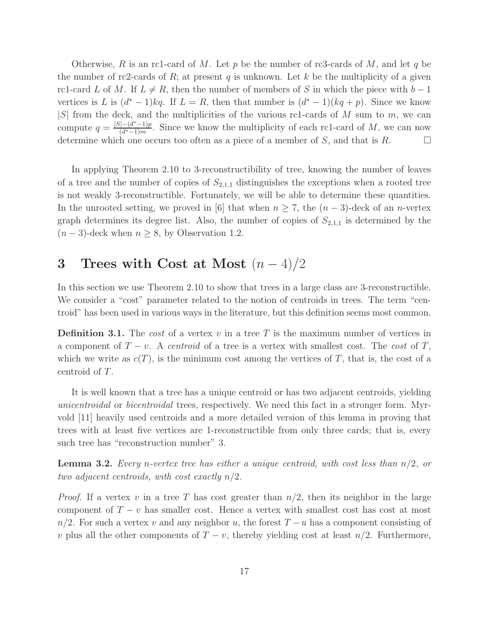Otherwise, R is an rc1-card of M. Let p be the number of rc3-cards of M, and let q be the number of rc2-cards of  $R$ ; at present  $q$  is unknown. Let  $k$  be the multiplicity of a given rc1-card L of M. If  $L \neq R$ , then the number of members of S in which the piece with  $b - 1$ vertices is L is  $(d^* - 1)kq$ . If  $L = R$ , then that number is  $(d^* - 1)(kq + p)$ . Since we know  $|S|$  from the deck, and the multiplicities of the various rc1-cards of M sum to m, we can compute  $q = \frac{|S| - (d^* - 1)p}{(d^* - 1)m}$  $\frac{(-a^{\nu}-1)p}{(d^{\nu}-1)m}$ . Since we know the multiplicity of each rc1-card of M, we can now determine which one occurs too often as a piece of a member of S, and that is R.

In applying Theorem 2.10 to 3-reconstructibility of tree, knowing the number of leaves of a tree and the number of copies of  $S_{2,1,1}$  distinguishes the exceptions when a rooted tree is not weakly 3-reconstructible. Fortunately, we will be able to determine these quantities. In the unrooted setting, we proved in [6] that when  $n \geq 7$ , the  $(n-3)$ -deck of an *n*-vertex graph determines its degree list. Also, the number of copies of  $S_{2,1,1}$  is determined by the  $(n-3)$ -deck when  $n \geq 8$ , by Observation 1.2.

# 3 Trees with Cost at Most  $(n-4)/2$

In this section we use Theorem 2.10 to show that trees in a large class are 3-reconstructible. We consider a "cost" parameter related to the notion of centroids in trees. The term "centroid" has been used in various ways in the literature, but this definition seems most common.

**Definition 3.1.** The cost of a vertex v in a tree T is the maximum number of vertices in a component of  $T - v$ . A centroid of a tree is a vertex with smallest cost. The cost of T, which we write as  $c(T)$ , is the minimum cost among the vertices of T, that is, the cost of a centroid of T.

It is well known that a tree has a unique centroid or has two adjacent centroids, yielding unicentroidal or bicentroidal trees, respectively. We need this fact in a stronger form. Myrvold [11] heavily used centroids and a more detailed version of this lemma in proving that trees with at least five vertices are 1-reconstructible from only three cards; that is, every such tree has "reconstruction number" 3.

**Lemma 3.2.** Every n-vertex tree has either a unique centroid, with cost less than  $n/2$ , or two adjacent centroids, with cost exactly  $n/2$ .

*Proof.* If a vertex v in a tree T has cost greater than  $n/2$ , then its neighbor in the large component of  $T - v$  has smaller cost. Hence a vertex with smallest cost has cost at most  $n/2$ . For such a vertex v and any neighbor u, the forest  $T - u$  has a component consisting of v plus all the other components of  $T - v$ , thereby yielding cost at least  $n/2$ . Furthermore,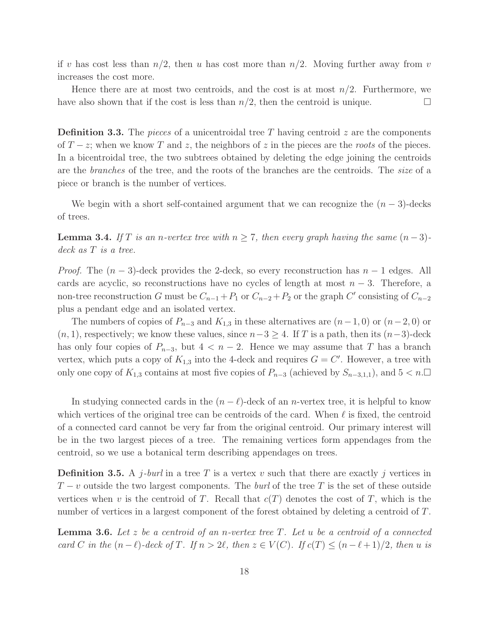if v has cost less than  $n/2$ , then u has cost more than  $n/2$ . Moving further away from v increases the cost more.

Hence there are at most two centroids, and the cost is at most  $n/2$ . Furthermore, we have also shown that if the cost is less than  $n/2$ , then the centroid is unique.

**Definition 3.3.** The pieces of a unicentroidal tree T having centroid  $z$  are the components of  $T - z$ ; when we know T and z, the neighbors of z in the pieces are the roots of the pieces. In a bicentroidal tree, the two subtrees obtained by deleting the edge joining the centroids are the branches of the tree, and the roots of the branches are the centroids. The size of a piece or branch is the number of vertices.

We begin with a short self-contained argument that we can recognize the  $(n-3)$ -decks of trees.

**Lemma 3.4.** If T is an n-vertex tree with  $n \ge 7$ , then every graph having the same  $(n-3)$ deck as T is a tree.

*Proof.* The  $(n-3)$ -deck provides the 2-deck, so every reconstruction has  $n-1$  edges. All cards are acyclic, so reconstructions have no cycles of length at most  $n-3$ . Therefore, a non-tree reconstruction G must be  $C_{n-1} + P_1$  or  $C_{n-2} + P_2$  or the graph C' consisting of  $C_{n-2}$ plus a pendant edge and an isolated vertex.

The numbers of copies of  $P_{n-3}$  and  $K_{1,3}$  in these alternatives are  $(n-1, 0)$  or  $(n-2, 0)$  or  $(n, 1)$ , respectively; we know these values, since  $n-3 \geq 4$ . If T is a path, then its  $(n-3)$ -deck has only four copies of  $P_{n-3}$ , but  $4 < n-2$ . Hence we may assume that T has a branch vertex, which puts a copy of  $K_{1,3}$  into the 4-deck and requires  $G = C'$ . However, a tree with only one copy of  $K_{1,3}$  contains at most five copies of  $P_{n-3}$  (achieved by  $S_{n-3,1,1}$ ), and  $5 < n$ .

In studying connected cards in the  $(n - \ell)$ -deck of an *n*-vertex tree, it is helpful to know which vertices of the original tree can be centroids of the card. When  $\ell$  is fixed, the centroid of a connected card cannot be very far from the original centroid. Our primary interest will be in the two largest pieces of a tree. The remaining vertices form appendages from the centroid, so we use a botanical term describing appendages on trees.

**Definition 3.5.** A j-burl in a tree T is a vertex v such that there are exactly j vertices in  $T - v$  outside the two largest components. The *burl* of the tree T is the set of these outside vertices when v is the centroid of T. Recall that  $c(T)$  denotes the cost of T, which is the number of vertices in a largest component of the forest obtained by deleting a centroid of T.

**Lemma 3.6.** Let z be a centroid of an n-vertex tree  $T$ . Let u be a centroid of a connected card C in the  $(n - \ell)$ -deck of T. If  $n > 2\ell$ , then  $z \in V(C)$ . If  $c(T) \leq (n - \ell + 1)/2$ , then u is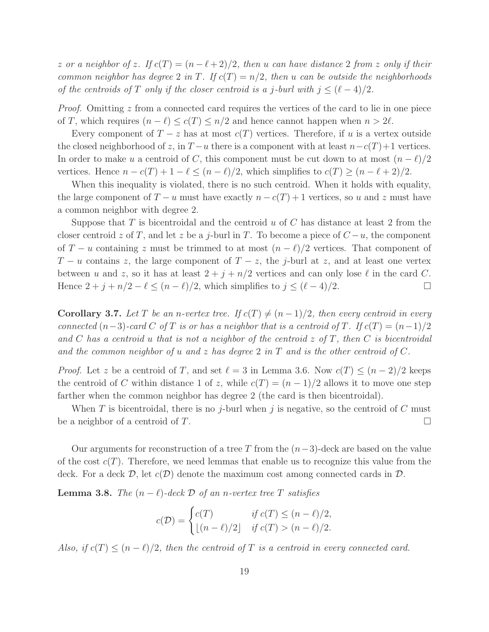z or a neighbor of z. If  $c(T) = (n - \ell + 2)/2$ , then u can have distance 2 from z only if their common neighbor has degree 2 in T. If  $c(T) = n/2$ , then u can be outside the neighborhoods of the centroids of T only if the closer centroid is a j-burl with  $j \leq (\ell-4)/2$ .

*Proof.* Omitting  $z$  from a connected card requires the vertices of the card to lie in one piece of T, which requires  $(n - \ell) \leq c(T) \leq n/2$  and hence cannot happen when  $n > 2\ell$ .

Every component of  $T-z$  has at most  $c(T)$  vertices. Therefore, if u is a vertex outside the closed neighborhood of z, in  $T - u$  there is a component with at least  $n - c(T) + 1$  vertices. In order to make u a centroid of C, this component must be cut down to at most  $(n - \ell)/2$ vertices. Hence  $n - c(T) + 1 - \ell \leq (n - \ell)/2$ , which simplifies to  $c(T) \geq (n - \ell + 2)/2$ .

When this inequality is violated, there is no such centroid. When it holds with equality, the large component of  $T - u$  must have exactly  $n - c(T) + 1$  vertices, so u and z must have a common neighbor with degree 2.

Suppose that T is bicentroidal and the centroid u of C has distance at least 2 from the closer centroid z of T, and let z be a j-burl in T. To become a piece of  $C - u$ , the component of  $T - u$  containing z must be trimmed to at most  $(n - \ell)/2$  vertices. That component of  $T - u$  contains z, the large component of  $T - z$ , the j-burl at z, and at least one vertex between u and z, so it has at least  $2 + j + n/2$  vertices and can only lose  $\ell$  in the card C. Hence  $2 + j + n/2 - \ell \leq (n - \ell)/2$ , which simplifies to  $j \leq (\ell - 4)/2$ .

**Corollary 3.7.** Let T be an n-vertex tree. If  $c(T) \neq (n-1)/2$ , then every centroid in every connected  $(n-3)$ -card C of T is or has a neighbor that is a centroid of T. If  $c(T) = (n-1)/2$ and C has a centroid u that is not a neighbor of the centroid  $z$  of T, then C is bicentroidal and the common neighbor of u and z has degree 2 in T and is the other centroid of C.

*Proof.* Let z be a centroid of T, and set  $\ell = 3$  in Lemma 3.6. Now  $c(T) \leq (n-2)/2$  keeps the centroid of C within distance 1 of z, while  $c(T) = (n-1)/2$  allows it to move one step farther when the common neighbor has degree 2 (the card is then bicentroidal).

When T is bicentroidal, there is no j-burl when j is negative, so the centroid of C must be a neighbor of a centroid of T.

Our arguments for reconstruction of a tree T from the  $(n-3)$ -deck are based on the value of the cost  $c(T)$ . Therefore, we need lemmas that enable us to recognize this value from the deck. For a deck  $D$ , let  $c(D)$  denote the maximum cost among connected cards in  $D$ .

**Lemma 3.8.** The  $(n - \ell)$ -deck  $\mathcal{D}$  of an n-vertex tree T satisfies

$$
c(\mathcal{D}) = \begin{cases} c(T) & \text{if } c(T) \le (n - \ell)/2, \\ \lfloor (n - \ell)/2 \rfloor & \text{if } c(T) > (n - \ell)/2. \end{cases}
$$

Also, if  $c(T) \leq (n - \ell)/2$ , then the centroid of T is a centroid in every connected card.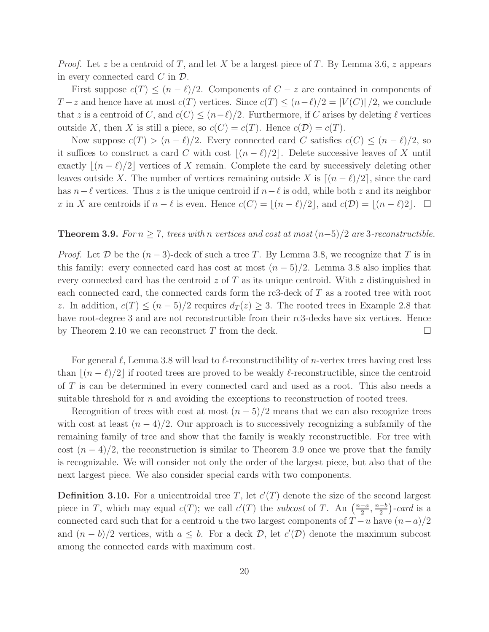*Proof.* Let z be a centroid of T, and let X be a largest piece of T. By Lemma 3.6, z appears in every connected card  $C$  in  $\mathcal{D}$ .

First suppose  $c(T) \leq (n - \ell)/2$ . Components of  $C - z$  are contained in components of  $T-z$  and hence have at most  $c(T)$  vertices. Since  $c(T) \leq (n-\ell)/2 = |V(C)|/2$ , we conclude that z is a centroid of C, and  $c(C) \leq (n-\ell)/2$ . Furthermore, if C arises by deleting  $\ell$  vertices outside X, then X is still a piece, so  $c(C) = c(T)$ . Hence  $c(D) = c(T)$ .

Now suppose  $c(T) > (n - \ell)/2$ . Every connected card C satisfies  $c(C) \leq (n - \ell)/2$ , so it suffices to construct a card C with cost  $|(n - \ell)/2|$ . Delete successive leaves of X until exactly  $|(n - \ell)/2|$  vertices of X remain. Complete the card by successively deleting other leaves outside X. The number of vertices remaining outside X is  $|(n - \ell)/2|$ , since the card has  $n-\ell$  vertices. Thus z is the unique centroid if  $n-\ell$  is odd, while both z and its neighbor x in X are centroids if  $n - \ell$  is even. Hence  $c(C) = |(n - \ell)/2|$ , and  $c(D) = |(n - \ell)/2|$ .  $\Box$ 

#### **Theorem 3.9.** For  $n \geq 7$ , trees with n vertices and cost at most  $(n-5)/2$  are 3-reconstructible.

*Proof.* Let D be the  $(n-3)$ -deck of such a tree T. By Lemma 3.8, we recognize that T is in this family: every connected card has cost at most  $(n-5)/2$ . Lemma 3.8 also implies that every connected card has the centroid  $z$  of  $T$  as its unique centroid. With  $z$  distinguished in each connected card, the connected cards form the rc3-deck of T as a rooted tree with root z. In addition,  $c(T) \leq (n-5)/2$  requires  $d_T(z) \geq 3$ . The rooted trees in Example 2.8 that have root-degree 3 and are not reconstructible from their rc3-decks have six vertices. Hence by Theorem 2.10 we can reconstruct T from the deck.  $\Box$ 

For general  $\ell$ , Lemma 3.8 will lead to  $\ell$ -reconstructibility of *n*-vertex trees having cost less than  $(n - \ell)/2$  if rooted trees are proved to be weakly  $\ell$ -reconstructible, since the centroid of T is can be determined in every connected card and used as a root. This also needs a suitable threshold for  $n$  and avoiding the exceptions to reconstruction of rooted trees.

Recognition of trees with cost at most  $(n-5)/2$  means that we can also recognize trees with cost at least  $(n-4)/2$ . Our approach is to successively recognizing a subfamily of the remaining family of tree and show that the family is weakly reconstructible. For tree with cost  $(n-4)/2$ , the reconstruction is similar to Theorem 3.9 once we prove that the family is recognizable. We will consider not only the order of the largest piece, but also that of the next largest piece. We also consider special cards with two components.

**Definition 3.10.** For a unicentroidal tree T, let  $c'(T)$  denote the size of the second largest piece in T, which may equal  $c(T)$ ; we call  $c'(T)$  the *subcost* of T. An  $\left(\frac{n-a}{2}\right)$  $\frac{-a}{2}, \frac{n-b}{2}$  $\frac{-b}{2}$ )-card is a connected card such that for a centroid u the two largest components of  $T - u$  have  $(n - a)/2$ and  $(n - b)/2$  vertices, with  $a \leq b$ . For a deck  $D$ , let  $c'(\mathcal{D})$  denote the maximum subcost among the connected cards with maximum cost.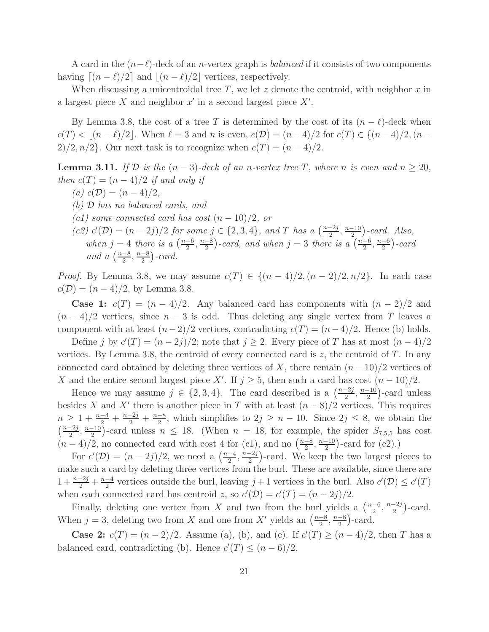A card in the  $(n-\ell)$ -deck of an *n*-vertex graph is *balanced* if it consists of two components having  $\lceil (n - \ell)/2 \rceil$  and  $\lceil (n - \ell)/2 \rceil$  vertices, respectively.

When discussing a unicentroidal tree T, we let z denote the centroid, with neighbor x in a largest piece  $X$  and neighbor  $x'$  in a second largest piece  $X'$ .

By Lemma 3.8, the cost of a tree T is determined by the cost of its  $(n - \ell)$ -deck when  $c(T) < |(n-\ell)/2|$ . When  $\ell = 3$  and n is even,  $c(\mathcal{D}) = (n-4)/2$  for  $c(T) \in \{(n-4)/2, (n-\ell)/2\}$ 2)/2,  $n/2$ . Our next task is to recognize when  $c(T) = (n-4)/2$ .

**Lemma 3.11.** If  $D$  is the  $(n-3)$ -deck of an n-vertex tree T, where n is even and  $n \ge 20$ , then  $c(T) = (n-4)/2$  if and only if

- (a)  $c(\mathcal{D}) = (n-4)/2$ ,
- (b) D has no balanced cards, and
- $(c1)$  some connected card has cost  $(n-10)/2$ , or
- (c2)  $c'(\mathcal{D}) = (n-2j)/2$  for some  $j \in \{2, 3, 4\}$ , and T has a  $\left(\frac{n-2j}{2}\right)$  $\frac{-2j}{2}, \frac{n-10}{2}$  $\frac{-10}{2}$ )-card. Also, when  $j = 4$  there is a  $\left(\frac{n-6}{2}\right)$  $\frac{-6}{2}, \frac{n-8}{2}$  $\frac{2}{2}$ )-card, and when  $j=3$  there is a  $\left(\frac{n-6}{2}\right)$  $\frac{-6}{2}, \frac{n-6}{2}$  $\frac{-6}{2}$ ) - card and a  $\left(\frac{n-8}{2}\right)$  $\frac{-8}{2}, \frac{n-8}{2}$  $\frac{-8}{2}$ ) - card.

*Proof.* By Lemma 3.8, we may assume  $c(T) \in \{(n-4)/2, (n-2)/2, n/2\}$ . In each case  $c(\mathcal{D}) = (n-4)/2$ , by Lemma 3.8.

**Case 1:**  $c(T) = (n-4)/2$ . Any balanced card has components with  $(n-2)/2$  and  $(n-4)/2$  vertices, since  $n-3$  is odd. Thus deleting any single vertex from T leaves a component with at least  $(n-2)/2$  vertices, contradicting  $c(T) = (n-4)/2$ . Hence (b) holds.

Define j by  $c'(T) = (n-2j)/2$ ; note that  $j \ge 2$ . Every piece of T has at most  $(n-4)/2$ vertices. By Lemma 3.8, the centroid of every connected card is  $z$ , the centroid of  $T$ . In any connected card obtained by deleting three vertices of X, there remain  $(n-10)/2$  vertices of X and the entire second largest piece X'. If  $j \geq 5$ , then such a card has cost  $(n-10)/2$ .

Hence we may assume  $j \in \{2, 3, 4\}$ . The card described is a  $\left(\frac{n-2j}{2}\right)$  $\frac{-2j}{2}, \frac{n-10}{2}$  $\frac{-10}{2}$ )-card unless besides X and X' there is another piece in T with at least  $(n-8)/2$  vertices. This requires  $n \geq 1 + \frac{n-4}{2} + \frac{n-2j}{2} + \frac{n-8}{2}$  $\frac{-8}{2}$ , which simplifies to  $2j \geq n-10$ . Since  $2j \leq 8$ , we obtain the  $\left(\frac{n-2j}{2}\right)$  $\frac{-2j}{2}, \frac{n-10}{2}$  $\frac{-10}{2}$ )-card unless  $n \leq 18$ . (When  $n = 18$ , for example, the spider  $S_{7,5,5}$  has cost  $(n-4)/2$ , no connected card with cost 4 for (c1), and no  $\left(\frac{n-8}{2}\right)$  $\frac{-8}{2}, \frac{n-10}{2}$  $\frac{-10}{2}$ )-card for (c2).)

For  $c'(\mathcal{D}) = (n-2j)/2$ , we need a  $\left(\frac{n-4}{2}\right)$  $\frac{-4}{2}, \frac{n-2j}{2}$  $\frac{-2j}{2}$ )-card. We keep the two largest pieces to make such a card by deleting three vertices from the burl. These are available, since there are  $1 + \frac{n-2j}{2} + \frac{n-4}{2}$  $\frac{-4}{2}$  vertices outside the burl, leaving  $j+1$  vertices in the burl. Also  $c'(\mathcal{D}) \leq c'(T)$ when each connected card has centroid z, so  $c'(\mathcal{D}) = c'(T) = (n - 2j)/2$ .

Finally, deleting one vertex from X and two from the burl yields a  $\left(\frac{n-6}{2}\right)$  $\frac{-6}{2}$ ,  $\frac{n-2j}{2}$  $\frac{-2j}{2}$ )-card. When  $j = 3$ , deleting two from X and one from X' yields an  $\left(\frac{n-8}{2}\right)$  $\frac{-8}{2}, \frac{n-8}{2}$  $\frac{-8}{2}$ )-card.

**Case 2:**  $c(T) = (n-2)/2$ . Assume (a), (b), and (c). If  $c'(T) \ge (n-4)/2$ , then T has a balanced card, contradicting (b). Hence  $c'(T) \leq (n-6)/2$ .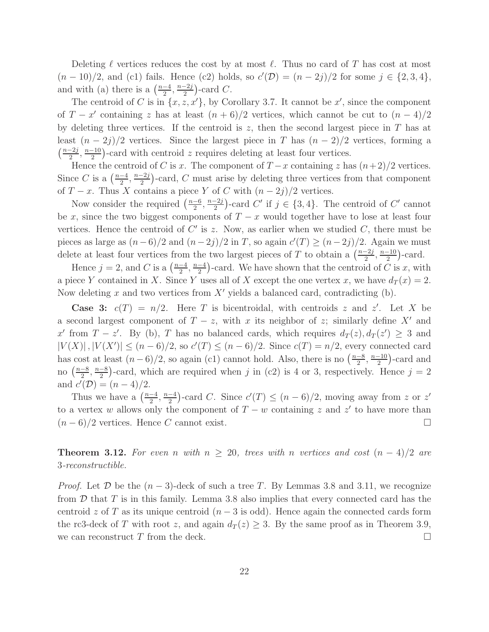Deleting  $\ell$  vertices reduces the cost by at most  $\ell$ . Thus no card of T has cost at most  $(n-10)/2$ , and (c1) fails. Hence (c2) holds, so  $c'(\mathcal{D}) = (n-2j)/2$  for some  $j \in \{2,3,4\}$ , and with (a) there is a  $\left(\frac{n-4}{2}\right)$  $\frac{-4}{2}, \frac{n-2j}{2}$  $\frac{-2j}{2}$ )-card C.

The centroid of C is in  $\{x, z, x'\}$ , by Corollary 3.7. It cannot be  $x'$ , since the component of  $T - x'$  containing z has at least  $(n + 6)/2$  vertices, which cannot be cut to  $(n - 4)/2$ by deleting three vertices. If the centroid is z, then the second largest piece in  $T$  has at least  $(n-2j)/2$  vertices. Since the largest piece in T has  $(n-2)/2$  vertices, forming a  $\left(\frac{n-2j}{2}\right)$  $\frac{-2j}{2}, \frac{n-10}{2}$  $\frac{-10}{2}$ )-card with centroid z requires deleting at least four vertices.

Hence the centroid of C is x. The component of  $T-x$  containing z has  $(n+2)/2$  vertices. Since C is a  $\left(\frac{n-4}{2}\right)$  $\frac{-4}{2}, \frac{n-2j}{2}$  $\frac{-2j}{2}$ )-card, C must arise by deleting three vertices from that component of  $T - x$ . Thus X contains a piece Y of C with  $(n - 2j)/2$  vertices.

Now consider the required  $\left(\frac{n-6}{2}\right)$  $\frac{-6}{2}, \frac{n-2j}{2}$  $\frac{-2j}{2}$ -card C' if  $j \in \{3, 4\}$ . The centroid of C' cannot be x, since the two biggest components of  $T - x$  would together have to lose at least four vertices. Hence the centroid of  $C'$  is z. Now, as earlier when we studied  $C$ , there must be pieces as large as  $(n-6)/2$  and  $(n-2j)/2$  in T, so again  $c'(T) \ge (n-2j)/2$ . Again we must delete at least four vertices from the two largest pieces of T to obtain a  $\left(\frac{n-2j}{2}\right)$  $\frac{-2j}{2}, \frac{n-10}{2}$  $\frac{-10}{2}$ )-card.

Hence  $j = 2$ , and C is a  $\left(\frac{n-4}{2}\right)$  $\frac{-4}{2}, \frac{n-4}{2}$  $\frac{-4}{2}$ )-card. We have shown that the centroid of  $\tilde{C}$  is x, with a piece Y contained in X. Since Y uses all of X except the one vertex x, we have  $d_T(x) = 2$ . Now deleting x and two vertices from  $X'$  yields a balanced card, contradicting (b).

**Case 3:**  $c(T) = n/2$ . Here T is bicentroidal, with centroids z and z'. Let X be a second largest component of  $T - z$ , with x its neighbor of z; similarly define X' and x' from  $T - z'$ . By (b), T has no balanced cards, which requires  $d_T(z)$ ,  $d_T(z') \geq 3$  and  $|V(X)|, |V(X')| \le (n-6)/2$ , so  $c'(T) \le (n-6)/2$ . Since  $c(T) = n/2$ , every connected card has cost at least  $(n-6)/2$ , so again (c1) cannot hold. Also, there is no  $\left(\frac{n-8}{2}\right)$  $\frac{-8}{2}, \frac{n-10}{2}$  $\frac{-10}{2}$ )-card and no  $\left(\frac{n-8}{2}\right)$  $\frac{-8}{2}, \frac{n-8}{2}$  $\frac{-8}{2}$ )-card, which are required when j in (c2) is 4 or 3, respectively. Hence  $j = 2$ and  $c'(\mathcal{D}) = (n-4)/2$ .

Thus we have a  $\left(\frac{n-4}{2}\right)$  $\frac{-4}{2}, \frac{n-4}{2}$  $\frac{-4}{2}$ )-card C. Since  $c'(T) \leq (n-6)/2$ , moving away from z or z' to a vertex w allows only the component of  $T - w$  containing z and z' to have more than  $(n-6)/2$  vertices. Hence C cannot exist.

**Theorem 3.12.** For even n with  $n \geq 20$ , trees with n vertices and cost  $(n-4)/2$  are 3-reconstructible.

*Proof.* Let  $D$  be the  $(n-3)$ -deck of such a tree T. By Lemmas 3.8 and 3.11, we recognize from  $\mathcal D$  that  $T$  is in this family. Lemma 3.8 also implies that every connected card has the centroid  $z$  of T as its unique centroid  $(n-3$  is odd). Hence again the connected cards form the rc3-deck of T with root z, and again  $d_T(z) \geq 3$ . By the same proof as in Theorem 3.9, we can reconstruct T from the deck.  $\Box$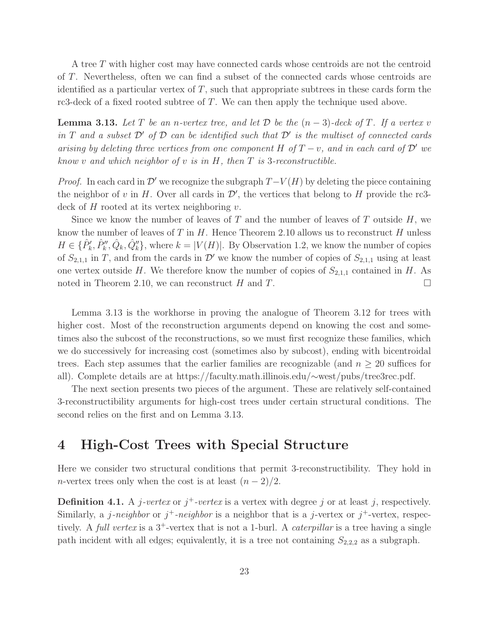A tree T with higher cost may have connected cards whose centroids are not the centroid of T. Nevertheless, often we can find a subset of the connected cards whose centroids are identified as a particular vertex of  $T$ , such that appropriate subtrees in these cards form the rc3-deck of a fixed rooted subtree of T. We can then apply the technique used above.

**Lemma 3.13.** Let T be an n-vertex tree, and let D be the  $(n-3)$ -deck of T. If a vertex v in T and a subset  $\mathcal{D}'$  of  $\mathcal D$  can be identified such that  $\mathcal D'$  is the multiset of connected cards arising by deleting three vertices from one component H of  $T - v$ , and in each card of  $\mathcal{D}'$  we know v and which neighbor of v is in  $H$ , then  $T$  is 3-reconstructible.

*Proof.* In each card in  $\mathcal{D}'$  we recognize the subgraph  $T-V(H)$  by deleting the piece containing the neighbor of v in H. Over all cards in  $\mathcal{D}'$ , the vertices that belong to H provide the rc3deck of  $H$  rooted at its vertex neighboring  $v$ .

Since we know the number of leaves of  $T$  and the number of leaves of  $T$  outside  $H$ , we know the number of leaves of  $T$  in  $H$ . Hence Theorem 2.10 allows us to reconstruct  $H$  unless  $H \in \{ \hat{P}_k', \hat{P}_k'', \hat{Q}_k, \hat{Q}_k'' \}$ , where  $k = |V(H)|$ . By Observation 1.2, we know the number of copies of  $S_{2,1,1}$  in T, and from the cards in  $\mathcal{D}'$  we know the number of copies of  $S_{2,1,1}$  using at least one vertex outside H. We therefore know the number of copies of  $S_{2,1,1}$  contained in H. As noted in Theorem 2.10, we can reconstruct H and T.

Lemma 3.13 is the workhorse in proving the analogue of Theorem 3.12 for trees with higher cost. Most of the reconstruction arguments depend on knowing the cost and sometimes also the subcost of the reconstructions, so we must first recognize these families, which we do successively for increasing cost (sometimes also by subcost), ending with bicentroidal trees. Each step assumes that the earlier families are recognizable (and  $n \geq 20$  suffices for all). Complete details are at https://faculty.math.illinois.edu/∼west/pubs/tree3rec.pdf.

The next section presents two pieces of the argument. These are relatively self-contained 3-reconstructibility arguments for high-cost trees under certain structural conditions. The second relies on the first and on Lemma 3.13.

### 4 High-Cost Trees with Special Structure

Here we consider two structural conditions that permit 3-reconstructibility. They hold in n-vertex trees only when the cost is at least  $(n-2)/2$ .

**Definition 4.1.** A *j*-vertex or  $j^+$ -vertex is a vertex with degree j or at least j, respectively. Similarly, a j-neighbor or  $j^+$ -neighbor is a neighbor that is a j-vertex or  $j^+$ -vertex, respectively. A full vertex is a  $3^+$ -vertex that is not a 1-burl. A *caterpillar* is a tree having a single path incident with all edges; equivalently, it is a tree not containing  $S_{2,2,2}$  as a subgraph.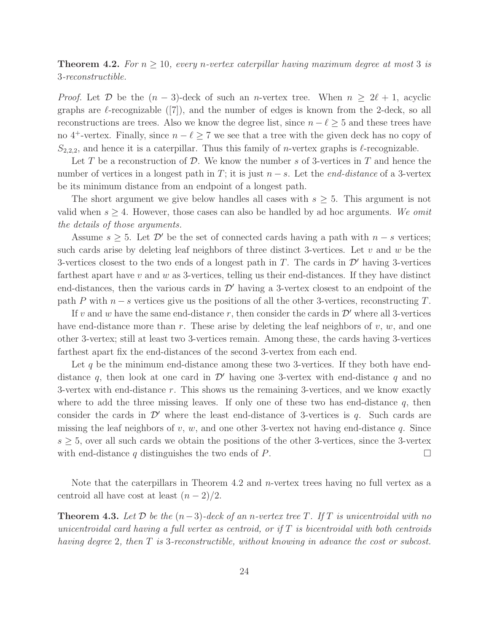**Theorem 4.2.** For  $n \geq 10$ , every n-vertex caterpillar having maximum degree at most 3 is 3-reconstructible.

*Proof.* Let  $\mathcal{D}$  be the  $(n-3)$ -deck of such an n-vertex tree. When  $n \geq 2\ell + 1$ , acyclic graphs are  $\ell$ -recognizable ([7]), and the number of edges is known from the 2-deck, so all reconstructions are trees. Also we know the degree list, since  $n - \ell \geq 5$  and these trees have no 4<sup>+</sup>-vertex. Finally, since  $n - \ell \geq 7$  we see that a tree with the given deck has no copy of  $S_{2,2,2}$ , and hence it is a caterpillar. Thus this family of *n*-vertex graphs is  $\ell$ -recognizable.

Let T be a reconstruction of D. We know the number s of 3-vertices in T and hence the number of vertices in a longest path in T; it is just  $n-s$ . Let the *end-distance* of a 3-vertex be its minimum distance from an endpoint of a longest path.

The short argument we give below handles all cases with  $s \geq 5$ . This argument is not valid when  $s \geq 4$ . However, those cases can also be handled by ad hoc arguments. We omit the details of those arguments.

Assume  $s \geq 5$ . Let  $\mathcal{D}'$  be the set of connected cards having a path with  $n - s$  vertices; such cards arise by deleting leaf neighbors of three distinct 3-vertices. Let  $v$  and  $w$  be the 3-vertices closest to the two ends of a longest path in  $T$ . The cards in  $\mathcal{D}'$  having 3-vertices farthest apart have  $v$  and  $w$  as 3-vertices, telling us their end-distances. If they have distinct end-distances, then the various cards in  $\mathcal{D}'$  having a 3-vertex closest to an endpoint of the path P with  $n - s$  vertices give us the positions of all the other 3-vertices, reconstructing T.

If v and w have the same end-distance r, then consider the cards in  $\mathcal{D}'$  where all 3-vertices have end-distance more than r. These arise by deleting the leaf neighbors of  $v, w$ , and one other 3-vertex; still at least two 3-vertices remain. Among these, the cards having 3-vertices farthest apart fix the end-distances of the second 3-vertex from each end.

Let q be the minimum end-distance among these two 3-vertices. If they both have enddistance q, then look at one card in  $\mathcal{D}'$  having one 3-vertex with end-distance q and no 3-vertex with end-distance r. This shows us the remaining 3-vertices, and we know exactly where to add the three missing leaves. If only one of these two has end-distance  $q$ , then consider the cards in  $\mathcal{D}'$  where the least end-distance of 3-vertices is q. Such cards are missing the leaf neighbors of v, w, and one other 3-vertex not having end-distance q. Since  $s \geq 5$ , over all such cards we obtain the positions of the other 3-vertices, since the 3-vertex with end-distance q distinguishes the two ends of P.  $\Box$ 

Note that the caterpillars in Theorem 4.2 and  $n$ -vertex trees having no full vertex as a centroid all have cost at least  $(n-2)/2$ .

**Theorem 4.3.** Let D be the  $(n-3)$ -deck of an n-vertex tree T. If T is unicentroidal with no unicentroidal card having a full vertex as centroid, or if  $T$  is bicentroidal with both centroids having degree 2, then T is 3-reconstructible, without knowing in advance the cost or subcost.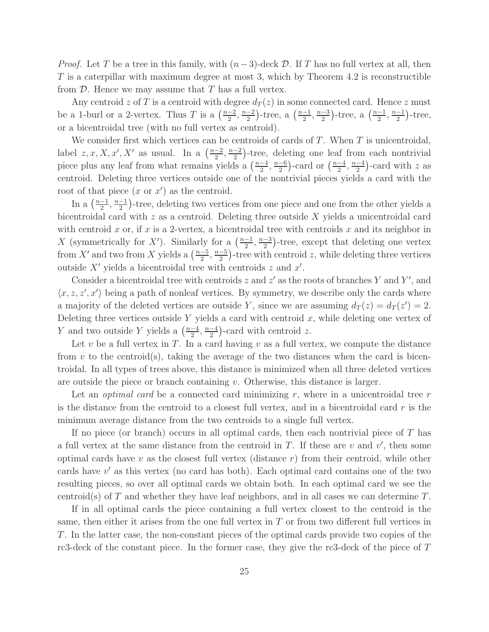*Proof.* Let T be a tree in this family, with  $(n-3)$ -deck D. If T has no full vertex at all, then  $T$  is a caterpillar with maximum degree at most 3, which by Theorem 4.2 is reconstructible from  $D$ . Hence we may assume that T has a full vertex.

Any centroid z of T is a centroid with degree  $d_T(z)$  in some connected card. Hence z must be a 1-burl or a 2-vertex. Thus T is a  $\left(\frac{n-2}{2}\right)$  $\frac{-2}{2}, \frac{n-2}{2}$  $\frac{-2}{2}$ )-tree, a  $\left(\frac{n-1}{2}\right)$  $\frac{-1}{2}, \frac{n-3}{2}$  $\frac{-3}{2}$ )-tree, a  $\left(\frac{n-1}{2}\right)$  $\frac{-1}{2}, \frac{n-1}{2}$  $\frac{-1}{2}$ )-tree, or a bicentroidal tree (with no full vertex as centroid).

We consider first which vertices can be centroids of cards of  $T$ . When  $T$  is unicentroidal, label  $z, x, X, x', X'$  as usual. In a  $\left(\frac{n-2}{2}\right)$  $\frac{-2}{2}, \frac{n-2}{2}$  $\frac{-2}{2}$ )-tree, deleting one leaf from each nontrivial piece plus any leaf from what remains yields a  $\left(\frac{n-4}{2}\right)$  $\frac{-4}{2}, \frac{n-6}{2}$  $\frac{-6}{2}$ )-card or  $\left(\frac{n-4}{2}\right)$  $\frac{-4}{2}, \frac{n-4}{2}$  $\frac{-4}{2}$ )-card with z as centroid. Deleting three vertices outside one of the nontrivial pieces yields a card with the root of that piece  $(x \text{ or } x')$  as the centroid.

In a  $\left(\frac{n-1}{2}\right)$  $\frac{-1}{2}, \frac{n-1}{2}$  $\frac{-1}{2}$ )-tree, deleting two vertices from one piece and one from the other yields a bicentroidal card with  $z$  as a centroid. Deleting three outside  $X$  yields a unicentroidal card with centroid x or, if x is a 2-vertex, a bicentroidal tree with centroids x and its neighbor in X (symmetrically for X'). Similarly for a  $\left(\frac{n-1}{2}\right)$  $\frac{-1}{2}, \frac{n-3}{2}$  $\frac{-3}{2}$ )-tree, except that deleting one vertex from X' and two from X yields a  $\left(\frac{n-5}{2}\right)$  $\frac{-5}{2}, \frac{n-5}{2}$  $\frac{-5}{2}$ )-tree with centroid z, while deleting three vertices outside  $X'$  yields a bicentroidal tree with centroids z and  $x'$ .

Consider a bicentroidal tree with centroids  $z$  and  $z'$  as the roots of branches Y and Y', and  $\langle x, z, z', x' \rangle$  being a path of nonleaf vertices. By symmetry, we describe only the cards where a majority of the deleted vertices are outside Y, since we are assuming  $d_T(z) = d_T(z') = 2$ . Deleting three vertices outside Y yields a card with centroid  $x$ , while deleting one vertex of Y and two outside Y yields a  $\left(\frac{n-4}{2}\right)$  $\frac{-4}{2}, \frac{n-4}{2}$  $\frac{-4}{2}$ )-card with centroid z.

Let v be a full vertex in T. In a card having  $v$  as a full vertex, we compute the distance from v to the centroid(s), taking the average of the two distances when the card is bicentroidal. In all types of trees above, this distance is minimized when all three deleted vertices are outside the piece or branch containing  $v$ . Otherwise, this distance is larger.

Let an *optimal card* be a connected card minimizing  $r$ , where in a unicentroidal tree  $r$ is the distance from the centroid to a closest full vertex, and in a bicentroidal card  $r$  is the minimum average distance from the two centroids to a single full vertex.

If no piece (or branch) occurs in all optimal cards, then each nontrivial piece of T has a full vertex at the same distance from the centroid in  $T$ . If these are  $v$  and  $v'$ , then some optimal cards have v as the closest full vertex (distance  $r$ ) from their centroid, while other cards have v ′ as this vertex (no card has both). Each optimal card contains one of the two resulting pieces, so over all optimal cards we obtain both. In each optimal card we see the centroid(s) of T and whether they have leaf neighbors, and in all cases we can determine  $T$ .

If in all optimal cards the piece containing a full vertex closest to the centroid is the same, then either it arises from the one full vertex in  $T$  or from two different full vertices in T. In the latter case, the non-constant pieces of the optimal cards provide two copies of the rc3-deck of the constant piece. In the former case, they give the rc3-deck of the piece of T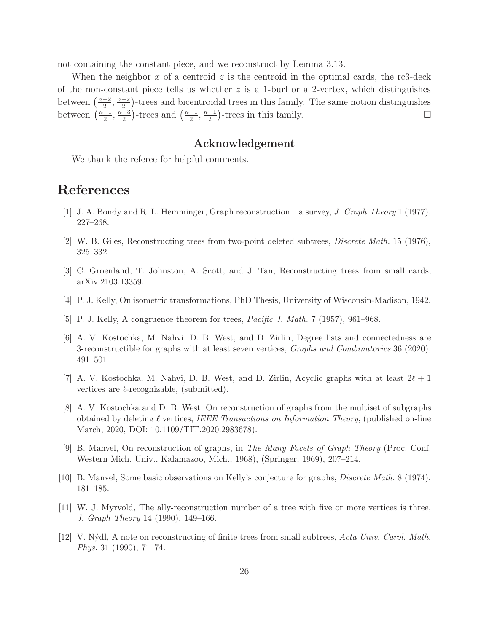not containing the constant piece, and we reconstruct by Lemma 3.13.

When the neighbor x of a centroid z is the centroid in the optimal cards, the rc3-deck of the non-constant piece tells us whether  $z$  is a 1-burl or a 2-vertex, which distinguishes between  $\left(\frac{n-2}{2}\right)$  $\frac{-2}{2}, \frac{n-2}{2}$  $\frac{-2}{2}$ )-trees and bicentroidal trees in this family. The same notion distinguishes between  $\left(\frac{n-1}{2}\right)$  $\frac{-1}{2}, \frac{n-3}{2}$  $\frac{-3}{2}$ )-trees and  $\left(\frac{n-1}{2}\right)$  $\frac{-1}{2}, \frac{n-1}{2}$  $\frac{-1}{2}$ )-trees in this family.

### Acknowledgement

We thank the referee for helpful comments.

# References

- [1] J. A. Bondy and R. L. Hemminger, Graph reconstruction—a survey, J. Graph Theory 1 (1977), 227–268.
- [2] W. B. Giles, Reconstructing trees from two-point deleted subtrees, Discrete Math. 15 (1976), 325–332.
- [3] C. Groenland, T. Johnston, A. Scott, and J. Tan, Reconstructing trees from small cards, arXiv:2103.13359.
- [4] P. J. Kelly, On isometric transformations, PhD Thesis, University of Wisconsin-Madison, 1942.
- [5] P. J. Kelly, A congruence theorem for trees, Pacific J. Math. 7 (1957), 961–968.
- [6] A. V. Kostochka, M. Nahvi, D. B. West, and D. Zirlin, Degree lists and connectedness are 3-reconstructible for graphs with at least seven vertices, *Graphs and Combinatorics* 36 (2020), 491–501.
- [7] A. V. Kostochka, M. Nahvi, D. B. West, and D. Zirlin, Acyclic graphs with at least  $2\ell+1$ vertices are  $\ell$ -recognizable, (submitted).
- [8] A. V. Kostochka and D. B. West, On reconstruction of graphs from the multiset of subgraphs obtained by deleting  $\ell$  vertices, IEEE Transactions on Information Theory, (published on-line March, 2020, DOI: 10.1109/TIT.2020.2983678).
- [9] B. Manvel, On reconstruction of graphs, in The Many Facets of Graph Theory (Proc. Conf. Western Mich. Univ., Kalamazoo, Mich., 1968), (Springer, 1969), 207–214.
- [10] B. Manvel, Some basic observations on Kelly's conjecture for graphs, Discrete Math. 8 (1974), 181–185.
- [11] W. J. Myrvold, The ally-reconstruction number of a tree with five or more vertices is three, J. Graph Theory 14 (1990), 149–166.
- [12] V. Nýdl, A note on reconstructing of finite trees from small subtrees, Acta Univ. Carol. Math. Phys. 31 (1990), 71–74.